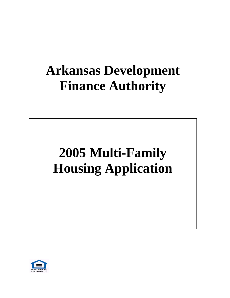# **Arkansas Development Finance Authority**

# **2005 Multi-Family Housing Application**

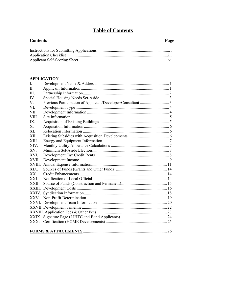# **Table of Contents**

## **Contents**

## Page

| $\ddot{\phantom{0}}$ |
|----------------------|
|                      |

#### **APPLICATION**

| I.           |  |
|--------------|--|
| $\mathbf{H}$ |  |
| Ш            |  |
| IV           |  |
| V.           |  |
| VI.          |  |
| VII.         |  |
| VIII.        |  |
| IX.          |  |
| $\mathbf{X}$ |  |
| XI.          |  |
| XII.         |  |
| <b>XIII</b>  |  |
| <b>XIV</b>   |  |
| XV           |  |
| <b>XVI</b>   |  |
| <b>XVII</b>  |  |
| <b>XVIII</b> |  |
| XIX.         |  |
| XX           |  |
| <b>XXI</b>   |  |
| XXII.        |  |
|              |  |
| XXIV.        |  |
| <b>XXV</b>   |  |
|              |  |
|              |  |
|              |  |
|              |  |
| XXX.         |  |
|              |  |
|              |  |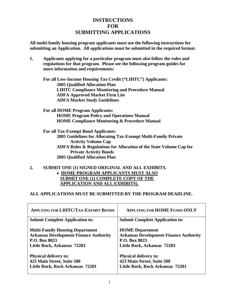## **INSTRUCTIONS FOR SUBMITTING APPLICATIONS**

**All multi-family housing program applicants must use the following instructions for submitting an Application. All applications must be submitted in the required format.** 

**1. Applicants applying for a particular program must also follow the rules and regulations for that program. Please see the following program guides for more information and requirements:** 

**For all Low-Income Housing Tax Credit ("LIHTC") Applicants: 2005 Qualified Allocation Plan LIHTC Compliance Monitoring and Procedure Manual ADFA Approved Market Firm List ADFA Market Study Guidelines** 

**For all HOME Program Applicants: HOME Program Policy and Operations Manual HOME Compliance Monitoring & Procedure Manual** 

**For all Tax-Exempt Bond Applicants: 2005 Guidelines for Allocating Tax-Exempt Multi-Family Private Activity Volume Cap ADFA Rules & Regulations for Allocation of the State Volume Cap for Private Activity Bonds 2005 Qualified Allocation Plan** 

**2. SUBMIT ONE (1) SIGNED ORIGINAL AND ALL EXHIBITS.**  • **HOME PROGRAM APPLICANTS MUST ALSO SUBMIT ONE (1) COMPLETE COPY OF THE APPLICATION AND ALL EXHIBITS).** 

#### **ALL APPLICATIONS MUST BE SUBMITTED BY THE PROGRAM DEADLINE.**

| <b>APPLYING FOR LIHTC/TAX-EXEMPT BONDS</b>                                                                                                     | <b>APPLYING FOR HOME FUNDS ONLY</b>                                                                                     |
|------------------------------------------------------------------------------------------------------------------------------------------------|-------------------------------------------------------------------------------------------------------------------------|
| <b>Submit Complete Application to:</b>                                                                                                         | <b>Submit Complete Application to:</b>                                                                                  |
| <b>Multi-Family Housing Department</b><br><b>Arkansas Development Finance Authority</b><br><b>P.O. Box 8023</b><br>Little Rock, Arkansas 72203 | <b>HOME</b> Department<br><b>Arkansas Development Finance Authority</b><br>P.O. Box 8023<br>Little Rock, Arkansas 72203 |
| <b>Physical delivery to:</b>                                                                                                                   | <b>Physical delivery to:</b>                                                                                            |
| 423 Main Street, Suite 500                                                                                                                     | 423 Main Street, Suite 500                                                                                              |
| Little Rock, Rock Arkansas 72201                                                                                                               | <b>Little Rock, Rock Arkansas 72201</b>                                                                                 |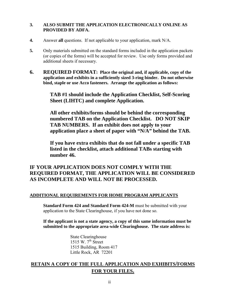#### **3. ALSO SUBMIT THE APPLICATION ELECTRONICALLY ONLINE AS PROVIDED BY ADFA.**

- **4.** Answer **all** questions. If not applicable to your application, mark N/A.
- **5.** Only materials submitted on the standard forms included in the application packets (or copies of the forms) will be accepted for review. Use only forms provided and additional sheets if necessary.
- **6. REQUIRED FORMAT: Place the original and, if applicable, copy of the application and exhibits in a sufficiently sized 3-ring binder. Do not otherwise bind, staple or use Acco fasteners. Arrange the application as follows:**

**TAB #1 should include the Application Checklist, Self-Scoring Sheet (LIHTC) and complete Application.** 

**All other exhibits/forms should be behind the corresponding numbered TAB on the Application Checklist. DO NOT SKIP TAB NUMBERS. If an exhibit does not apply to your application place a sheet of paper with "N/A" behind the TAB.** 

**If you have extra exhibits that do not fall under a specific TAB listed in the checklist, attach additional TABs starting with number 46.** 

## **IF YOUR APPLICATION DOES NOT COMPLY WITH THE REQUIRED FORMAT, THE APPLICATION WILL BE CONSIDERED AS INCOMPLETE AND WILL NOT BE PROCESSED.**

#### **ADDITIONAL REQUIREMENTS FOR HOME PROGRAM APPLICANTS**

 **Standard Form 424 and Standard Form 424-M** must be submitted with your application to the State Clearinghouse, if you have not done so.

#### **If the applicant is not a state agency, a copy of this same information must be submitted to the appropriate area-wide Clearinghouse. The state address is:**

 State Clearinghouse  $1515$  W.  $7<sup>th</sup>$  Street 1515 Building, Room 417 Little Rock, AR 72201

## **RETAIN A COPY OF THE FULL APPLICATION AND EXHIBITS/FORMS FOR YOUR FILES.**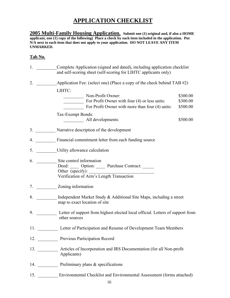# **APPLICATION CHECKLIST**

**2005 Multi-Family Housing Application. Submit one (1) original and, if also a HOME applicant, one (1) copy of the following) Place a check by each item included in the application. Put N/A next to each item that does not apply to your application. DO NOT LEAVE ANY ITEM UNMARKED.**

#### **Tab No.**

| 1.  | Complete Application (signed and dated), including application checklist<br>and self-scoring sheet (self-scoring for LIHTC applicants only) |          |
|-----|---------------------------------------------------------------------------------------------------------------------------------------------|----------|
| 2.  | Application Fee: (select one) (Place a copy of the check behind TAB #2)                                                                     |          |
|     | LIHTC:                                                                                                                                      |          |
|     | Non-Profit Owner:                                                                                                                           | \$300.00 |
|     | $\Gamma$ For Profit Owner with four (4) or less units:                                                                                      | \$300.00 |
|     | For Profit Owner with more than four (4) units:                                                                                             | \$500.00 |
|     | Tax-Exempt Bonds:                                                                                                                           |          |
|     | All developments:                                                                                                                           | \$500.00 |
|     | 3. Narrative description of the development                                                                                                 |          |
|     | 4. Financial commitment letter from each funding source                                                                                     |          |
|     | 5. Utility allowance calculation                                                                                                            |          |
|     | 6. Site control information                                                                                                                 |          |
|     | Deed: _____ Option: _____ Purchase Contract: ____                                                                                           |          |
|     | Other (specify):<br>Verification of Arm's Length Transaction                                                                                |          |
|     |                                                                                                                                             |          |
|     | 7. Zoning information                                                                                                                       |          |
| 8.  | Independent Market Study & Additional Site Maps, including a street                                                                         |          |
|     | map to exact location of site                                                                                                               |          |
|     | 9. Letter of support from highest elected local official. Letters of support from                                                           |          |
|     | other sources                                                                                                                               |          |
|     | 11. Letter of Participation and Resume of Development Team Members                                                                          |          |
|     | 12. Previous Participation Record                                                                                                           |          |
|     | 13. <b>Articles of Incorporation and IRS Documentation (for all Non-profit</b>                                                              |          |
|     | Applicants)                                                                                                                                 |          |
|     | 14. Preliminary plans & specifications                                                                                                      |          |
| 15. | Environmental Checklist and Environmental Assessment (forms attached)                                                                       |          |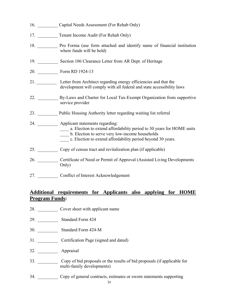- 16. Capital Needs Assessment (For Rehab Only)
- 17. Tenant Income Audit (For Rehab Only)
- 18. \_\_\_\_\_\_\_\_\_ Pro Forma (use form attached and identify name of financial institution where funds will be held)
- 19. \_\_\_\_\_\_\_\_\_ Section 106 Clearance Letter from AR Dept. of Heritage
- 20. Form RD 1924-13
- 21. \_\_\_\_\_\_\_\_\_ Letter from Architect regarding energy efficiencies and that the development will comply with all federal and state accessibility laws
- 22. \_\_\_\_\_\_\_\_\_ By-Laws and Charter for Local Tax-Exempt Organization from supportive service provider
- 23. Public Housing Authority letter regarding waiting list referral
- 24. \_\_\_\_\_\_\_\_\_ Applicant statements regarding: \_\_\_\_ a. Election to extend affordability period to 30 years for HOME units \_\_\_\_ b. Election to serve very low-income households \_\_\_\_ c. Election to extend affordability period beyond 30 years. 25. Copy of census tract and revitalization plan (if applicable)
- 26. \_\_\_\_\_\_\_\_\_ Certificate of Need or Permit of Approval (Assisted Living Developments Only)
- 27. \_\_\_\_\_\_\_\_\_ Conflict of Interest Acknowledgement

## **Additional requirements for Applicants also applying for HOME Program Funds:**

- 28. Cover sheet with applicant name
- 29. \_\_\_\_\_\_\_\_\_ Standard Form 424
- 30. \_\_\_\_\_\_\_\_\_ Standard Form 424-M
- 31. \_\_\_\_\_\_\_\_\_ Certification Page (signed and dated)
- 32. Appraisal
- 33. \_\_\_\_\_\_\_\_\_ Copy of bid proposals or the results of bid proposals (if applicable for multi-family developments)
- 34. \_\_\_\_\_\_\_\_\_ Copy of general contracts, estimates or sworn statements supporting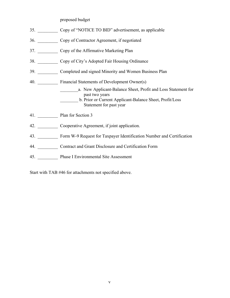proposed budget

| 35. | Copy of "NOTICE TO BID" advertisement, as applicable |
|-----|------------------------------------------------------|
|     |                                                      |

- 36. \_\_\_\_\_\_\_\_\_ Copy of Contractor Agreement, if negotiated
- 37. Copy of the Affirmative Marketing Plan
- 38. \_\_\_\_\_\_\_\_\_ Copy of City's Adopted Fair Housing Ordinance
- 39. \_\_\_\_\_\_\_\_\_ Completed and signed Minority and Women Business Plan
- 40. \_\_\_\_\_\_\_\_\_ Financial Statements of Development Owner(s)
	- \_\_\_\_\_\_\_\_a. New Applicant-Balance Sheet, Profit and Loss Statement for past two years \_\_\_\_\_\_\_\_ b. Prior or Current Applicant-Balance Sheet, Profit/Loss Statement for past year
- 41. Plan for Section 3
- 42. \_\_\_\_\_\_\_\_\_ Cooperative Agreement, if joint application.
- 43. \_\_\_\_\_\_\_\_\_ Form W-9 Request for Taxpayer Identification Number and Certification
- 44. \_\_\_\_\_\_\_\_\_ Contract and Grant Disclosure and Certification Form
- 45. \_\_\_\_\_\_\_\_\_ Phase I Environmental Site Assessment

Start with TAB #46 for attachments not specified above.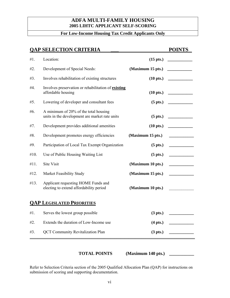### **ADFA MULTI-FAMILY HOUSING 2005 LIHTC APPLICANT SELF-SCORING**

#### **For Low-Income Housing Tax Credit Applicants Only**

|      | <b>QAP SELECTION CRITERIA</b>                                                           |                       | <b>POINTS</b>                                                                                                                                                                                                                                                                                                                                                                                                                                         |
|------|-----------------------------------------------------------------------------------------|-----------------------|-------------------------------------------------------------------------------------------------------------------------------------------------------------------------------------------------------------------------------------------------------------------------------------------------------------------------------------------------------------------------------------------------------------------------------------------------------|
| #1.  | Location:                                                                               | $(15$ pts.)           |                                                                                                                                                                                                                                                                                                                                                                                                                                                       |
| #2.  | Development of Special Needs:                                                           | (Maximum 15 pts.)     | $\begin{tabular}{ccccc} \multicolumn{2}{c }{\textbf{1} & \multicolumn{2}{c }{\textbf{2} & \multicolumn{2}{c }{\textbf{3} & \multicolumn{2}{c }{\textbf{4} & \multicolumn{2}{c }{\textbf{5} & \multicolumn{2}{c }{\textbf{6} & \multicolumn{2}{c }{\textbf{6} & \multicolumn{2}{c }{\textbf{6} & \multicolumn{2}{c }{\textbf{6} & \multicolumn{2}{c }{\textbf{6} & \multicolumn{2}{c }{\textbf{6} & \multicolumn{2}{c }{\textbf{6} & \multicolumn{2}{$ |
| #3.  | Involves rehabilitation of existing structures                                          | $(10 \text{ pts.})$   | <u> 1989 - Jan Sarajević, politik po</u>                                                                                                                                                                                                                                                                                                                                                                                                              |
| #4.  | Involves preservation or rehabilitation of existing<br>affordable housing               | $(10 \text{ pts.})$   | <u> Alexandro Alexandro III e a continua a continua a continua a continua a continua a continua a continua a con</u>                                                                                                                                                                                                                                                                                                                                  |
| #5.  | Lowering of developer and consultant fees                                               | $(5$ pts.)            |                                                                                                                                                                                                                                                                                                                                                                                                                                                       |
| #6.  | A minimum of 20% of the total housing<br>units in the development are market rate units | $(5$ pts.)            |                                                                                                                                                                                                                                                                                                                                                                                                                                                       |
| #7.  | Development provides additional amenities                                               | $(10 \text{ pts.})$   | $\overline{\phantom{a}}$                                                                                                                                                                                                                                                                                                                                                                                                                              |
| #8.  | Development promotes energy efficiencies                                                | (Maximum 15 pts.)     |                                                                                                                                                                                                                                                                                                                                                                                                                                                       |
| #9.  | Participation of Local Tax Exempt Organization                                          | $(5$ pts.)            |                                                                                                                                                                                                                                                                                                                                                                                                                                                       |
| #10. | Use of Public Housing Waiting List                                                      | $(5 \text{ pts.})$    |                                                                                                                                                                                                                                                                                                                                                                                                                                                       |
| #11. | Site Visit                                                                              | (Maximum 10 pts.)     | $\overline{a}$ . The contract of $\overline{a}$ and $\overline{a}$ and $\overline{a}$ and $\overline{a}$ and $\overline{a}$ and $\overline{a}$ and $\overline{a}$ and $\overline{a}$ and $\overline{a}$ and $\overline{a}$ and $\overline{a}$ and $\overline{a}$ and $\overline{a}$ and $\overline{a}$ and $\overline{a}$ and                                                                                                                         |
| #12. | Market Feasibility Study                                                                | (Maximum 15 pts.)     |                                                                                                                                                                                                                                                                                                                                                                                                                                                       |
| #13. | Applicant requesting HOME Funds and<br>electing to extend affordability period          | (Maximum 10 pts.)     |                                                                                                                                                                                                                                                                                                                                                                                                                                                       |
|      | <b>QAP LEGISLATED PRIORITIES</b>                                                        |                       |                                                                                                                                                                                                                                                                                                                                                                                                                                                       |
| #1.  | Serves the lowest group possible                                                        | (3 <sub>pts</sub> )   |                                                                                                                                                                                                                                                                                                                                                                                                                                                       |
| #2.  | Extends the duration of Low-Income use                                                  | $(4$ pts.)            |                                                                                                                                                                                                                                                                                                                                                                                                                                                       |
| #3.  | <b>QCT Community Revitalization Plan</b>                                                | (3 <sub>p</sub> its.) |                                                                                                                                                                                                                                                                                                                                                                                                                                                       |

**TOTAL POINTS** 

**(Maximum 140 pts.)** 

Refer to Selection Criteria section of the 2005 Qualified Allocation Plan (QAP) for instructions on submission of scoring and supporting documentation.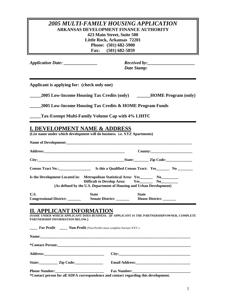## *2005 MULTI-FAMILY HOUSING APPLICATION*  **ARKANSAS DEVELOPMENT FINANCE AUTHORITY 423 Main Street, Suite 500 Little Rock, Arkansas 72201 Phone: (501) 682-5900 Fax: (501) 682-5859**

*Application Date:* \_\_\_\_\_\_\_\_\_\_\_\_\_\_\_\_\_\_\_\_\_\_ Received by:

 *Date Stamp:* 

**Applicant is applying for: (check only one)** 

**\_\_\_\_\_2005 Low-Income Housing Tax Credits (only) \_\_\_\_\_\_HOME Program (only)** 

**\_\_\_\_\_2005 Low-Income Housing Tax Credits & HOME Program Funds** 

**\_\_\_\_\_Tax-Exempt Multi-Family Volume Cap with 4% LIHTC** 

## **I. DEVELOPMENT NAME & ADDRESS**

**(List name under which development will do business. i.e. XYZ Apartments)** 

| City:                   |                                                                                                                                                | State: <u>Zip Code:</u> |
|-------------------------|------------------------------------------------------------------------------------------------------------------------------------------------|-------------------------|
|                         | Is this a Qualified Census Tract: Yes__________ No ___________                                                                                 |                         |
|                         | Is the Development Located in: Metropolitan Statistical Area: Yes________ No_________<br>Difficult to Develop Area: Yes__________ No__________ |                         |
|                         | (As defined by the U.S. Department of Housing and Urban Development)                                                                           |                         |
| U.S.                    | <b>State</b>                                                                                                                                   | <b>State</b>            |
| Congressional District: | <b>Senate District:</b> House District:                                                                                                        |                         |

#### **II. APPLICANT INFORMATION**

**(NAME UNDER WHICH APPLICANT DOES BUSINESS. (IF APPLICANT IS THE PARTNERSHIP/OWNER, COMPLETE PARTNERSHIP INFORMATION BELOW.)** 

**\_\_\_\_ For Profit \_\_\_\_ Non-Profit** (Non-Profits must complete Section XXV.)

| State: <u>Zip Code: 2000</u> |                                                                                                                                                                                                                                                                                                              |
|------------------------------|--------------------------------------------------------------------------------------------------------------------------------------------------------------------------------------------------------------------------------------------------------------------------------------------------------------|
|                              | $\mathcal{L}_{\text{C}}$ and the second $\mathbf{f}_{\text{C}}$ and $\mathbf{F}$ and $\mathbf{F}$ are secondized to be a secondized as $\mathbf{f}_{\text{C}}$ and $\mathbf{f}_{\text{C}}$ are secondized as $\mathbf{f}_{\text{C}}$ and $\mathbf{f}_{\text{C}}$ are secondized as $\mathbf{f}_{\text{C}}$ a |

**\*Contact person for all ADFA correspondence and contact regarding this development.**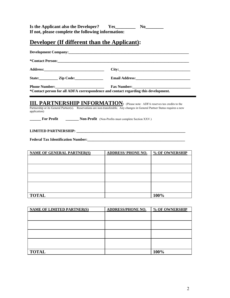Is the Applicant also the Developer? Yes\_\_\_\_\_\_\_\_\_ No\_\_\_\_\_\_\_\_ **If not, please complete the following information:** 

# **Developer (If different than the Applicant):**

| State: <u>The Code: The Code: Email Address:</u> The Code: The Code: The Code: The Code: The Code: The Code: The Code: The Code: The Code: The Code: The Code: The Code: The Code: The Code: The Code: The Code: The Code: The Code |
|-------------------------------------------------------------------------------------------------------------------------------------------------------------------------------------------------------------------------------------|
| Fax Number:                                                                                                                                                                                                                         |
| *Contact person for all ADFA correspondence and contact regarding this development.                                                                                                                                                 |
|                                                                                                                                                                                                                                     |

### **III. PARTNERSHIP INFORMATION:** (Please note: ADFA reserves tax credits to the

Partnership or its General Partner(s). Reservations are non-transferable. Any changes in General Partner Status requires a new application)

**\_\_\_\_\_\_ For Profit** \_\_\_\_\_\_\_\_\_ Non-Profit (Non-Profits must complete Section XXV.)

#### **LIMITED PARTNERSHIP: \_\_\_\_\_\_\_\_\_\_\_\_\_\_\_\_\_\_\_\_\_\_\_\_\_\_\_\_\_\_\_\_\_\_\_\_\_\_\_\_\_\_\_\_\_\_\_\_\_\_\_\_\_\_\_\_\_\_**

**Federal Tax Identification Number:\_\_\_\_\_\_\_\_\_\_\_\_\_\_\_\_\_\_\_\_\_\_\_\_\_\_\_\_\_\_\_\_\_\_\_\_\_\_\_\_\_\_\_\_\_\_\_\_\_\_\_\_** 

| <b>NAME OF GENERAL PARTNER(S)</b> | <b>ADDRESS/PHONE NO.</b> | % OF OWNERSHIP |
|-----------------------------------|--------------------------|----------------|
|                                   |                          |                |
|                                   |                          |                |
|                                   |                          |                |
|                                   |                          |                |
|                                   |                          |                |
|                                   |                          |                |
|                                   |                          |                |
|                                   |                          |                |
| <b>TOTAL</b>                      |                          | 100%           |

| <b>NAME OF LIMITED PARTNER(S)</b> | <b>ADDRESS/PHONE NO.</b> | % OF OWNERSHIP |
|-----------------------------------|--------------------------|----------------|
|                                   |                          |                |
|                                   |                          |                |
|                                   |                          |                |
|                                   |                          |                |
|                                   |                          |                |
|                                   |                          |                |
|                                   |                          |                |
|                                   |                          |                |
| <b>TOTAL</b>                      |                          | 100%           |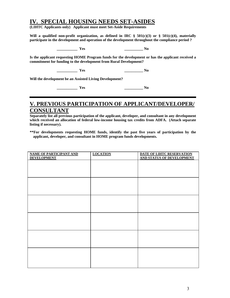## **IV. SPECIAL HOUSING NEEDS SET-ASIDES**

**(LIHTC Applicants only) Applicant must meet Set-Aside Requirements** 

Will a qualified non-profit organization, as defined in IRC  $\S$  501(c)(3) or  $\S$  501(c)(4), materially **participate in the development and operation of the development throughout the compliance period ?** 

 **\_\_\_\_\_\_\_\_\_\_\_ Yes \_\_\_\_\_\_\_\_\_\_ No** 

**Is the applicant requesting HOME Program funds for the development or has the applicant received a commitment for funding to the development from Rural Development?** 

 **\_\_\_\_\_\_\_\_\_\_\_ Yes \_\_\_\_\_\_\_\_\_\_ No** 

**Will the development be an Assisted Living Development?** 

 ${\bf Yes}$  and  ${\bf No}$ 

## **V. PREVIOUS PARTICIPATION OF APPLICANT/DEVELOPER/ CONSULTANT**

**Separately list all previous participation of the applicant, developer, and consultant in any development which received an allocation of federal low-income housing tax credits from ADFA. (Attach separate listing if necessary).** 

**\*\*For developments requesting HOME funds, identify the past five years of participation by the applicant, developer, and consultant in HOME program funds developments.** 

| <b>NAME OF PARTICIPANT AND</b> | <b>LOCATION</b> | DATE OF LIHTC RESERVATION |
|--------------------------------|-----------------|---------------------------|
| <b>DEVELOPMENT</b>             |                 | AND STATUS OF DEVELOPMENT |
|                                |                 |                           |
|                                |                 |                           |
|                                |                 |                           |
|                                |                 |                           |
|                                |                 |                           |
|                                |                 |                           |
|                                |                 |                           |
|                                |                 |                           |
|                                |                 |                           |
|                                |                 |                           |
|                                |                 |                           |
|                                |                 |                           |
|                                |                 |                           |
|                                |                 |                           |
|                                |                 |                           |
|                                |                 |                           |
|                                |                 |                           |
|                                |                 |                           |
|                                |                 |                           |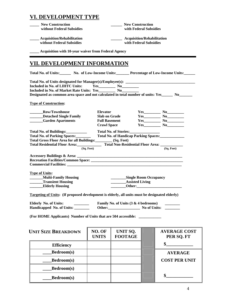# **VI. DEVELOPMENT TYPE**

**\_\_\_\_Bedroom(s)** 

| <b>New Construction</b><br>without Federal Subsidies                                                                                                                                                           |                                                                                       | <b>New Construction</b><br>with Federal Subsidies<br>________ Acquisition/Rehabilitation<br>with Federal Subsidies |  |                                       |
|----------------------------------------------------------------------------------------------------------------------------------------------------------------------------------------------------------------|---------------------------------------------------------------------------------------|--------------------------------------------------------------------------------------------------------------------|--|---------------------------------------|
| <b>Acquisition/Rehabilitation</b><br>without Federal Subsidies                                                                                                                                                 |                                                                                       |                                                                                                                    |  |                                       |
| <b>EXACCOLOGY ACCOLLEGY ACCOLLEGY ACCOLLEGY ACCOLLEGY ACCOLLEGY ACCOLLEGY ACCOLLEGY ACCOLLEGY ACCOLLEGY ACCOLLEGY</b>                                                                                          |                                                                                       |                                                                                                                    |  |                                       |
| VII. DEVELOPMENT INFORMATION                                                                                                                                                                                   |                                                                                       |                                                                                                                    |  |                                       |
| Total No. of Units: No. of Low-Income Units: Percentage of Low-Income Units:                                                                                                                                   |                                                                                       |                                                                                                                    |  |                                       |
| Included in No. of LIHTC Units:<br>Included in No. of Market Rate Units: Yes___________ No____________<br>Designated as common area space and not calculated in total number of units: Yes_________ No________ |                                                                                       | $Yes$ No No                                                                                                        |  |                                       |
| <b>Type of Construction:</b>                                                                                                                                                                                   |                                                                                       |                                                                                                                    |  |                                       |
| <b>Row/Townhouse</b><br><b>Detached Single Family</b><br><b>Garden Apartments</b>                                                                                                                              | <b>Elevator</b><br><b>Slab on Grade</b><br><b>Full Basement</b><br><b>Crawl Space</b> |                                                                                                                    |  | $Yes$ No<br>$Yes$ No<br>$Yes$ No $No$ |
| Total No. of Buildings:<br>Total No. of Parking Spaces:<br>Total Gross Floor Area for all Buildings: ________ (Sq. Feet)<br>Total Residential Floor Area: Total Non-Residential Floor Area: ________________   |                                                                                       | Total No. of Stories:<br><u>Letting</u><br>Total No. of Handicap Parking Spaces: ____________                      |  |                                       |
|                                                                                                                                                                                                                | (Sq. Feet)                                                                            |                                                                                                                    |  | (Sq. Feet)                            |
| <b>Type of Units:</b><br><b>Multi-Family Housing</b><br><b>Transient Housing</b><br><b>Elderly Housing</b>                                                                                                     |                                                                                       | Single Room Occupancy<br><b>Assisted Living</b><br><b>Other:</b> Other:                                            |  |                                       |
| Targeting of Units: (If proposed development is elderly, all units must be designated elderly)                                                                                                                 |                                                                                       |                                                                                                                    |  |                                       |
| <b>Elderly No. of Units:</b><br>Handicapped No. of Units:                                                                                                                                                      |                                                                                       | Family No. of Units (3 & 4 bedrooms)<br>Other: No of Units:                                                        |  |                                       |
| (For HOME Applicants) Number of Units that are 504 accessible: ____________                                                                                                                                    |                                                                                       |                                                                                                                    |  |                                       |
| <b>UNIT SIZE BREAKDOWN</b>                                                                                                                                                                                     | NO. OF<br><b>UNITS</b>                                                                | <b>UNIT SQ.</b><br><b>FOOTAGE</b>                                                                                  |  | <b>AVERAGE COST</b><br>PER SQ. FT     |
| <b>Efficiency</b>                                                                                                                                                                                              |                                                                                       |                                                                                                                    |  | $\sim$                                |
| <b>Bedroom(s)</b>                                                                                                                                                                                              |                                                                                       |                                                                                                                    |  | <b>AVERAGE</b>                        |

**Dedroom(s) COST PER UNIT** 

**\_\_\_\_Bedroom(s) \$\_\_\_\_\_\_\_\_\_\_\_\_**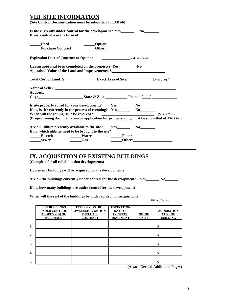# **VIII. SITE INFORMATION**

|    |                                                                                            | (Site Control Documentation must be submitted at TAB #6)                                                                                                                                                                 |                                                                                                                                                                                                                                                |                               |                                                         |
|----|--------------------------------------------------------------------------------------------|--------------------------------------------------------------------------------------------------------------------------------------------------------------------------------------------------------------------------|------------------------------------------------------------------------------------------------------------------------------------------------------------------------------------------------------------------------------------------------|-------------------------------|---------------------------------------------------------|
|    | If yes, control is in the form of:                                                         | Is site currently under control for the development? Yes_______                                                                                                                                                          |                                                                                                                                                                                                                                                | No                            |                                                         |
|    | Deed<br><b>Purchase Contract</b>                                                           | ______Option<br>Other:                                                                                                                                                                                                   |                                                                                                                                                                                                                                                |                               |                                                         |
|    |                                                                                            |                                                                                                                                                                                                                          |                                                                                                                                                                                                                                                |                               |                                                         |
|    |                                                                                            | Has an appraisal been completed on the property? Yes No No<br>Appraised Value of the Land and Improvements: \$                                                                                                           |                                                                                                                                                                                                                                                |                               |                                                         |
|    |                                                                                            | Total Cost of Land: \$                                                                                                                                                                                                   |                                                                                                                                                                                                                                                |                               |                                                         |
|    |                                                                                            |                                                                                                                                                                                                                          |                                                                                                                                                                                                                                                |                               |                                                         |
|    |                                                                                            |                                                                                                                                                                                                                          |                                                                                                                                                                                                                                                |                               |                                                         |
|    | When will the zoning issue be resolved?                                                    | Is site properly zoned for your development? Yes_______<br>If no, is site currently in the process of rezoning? Yes______<br>(Proper zoning documentation or application for proper zoning must be submitted at TAB #7.) | <u> 2000 - 2000 - 2000 - 2000 - 2000 - 2000 - 2000 - 2000 - 2000 - 2000 - 2000 - 2000 - 2000 - 2000 - 2000 - 200</u>                                                                                                                           | No                            | (Month/Year)                                            |
|    | Are all utilities presently available to the site?<br>Electric _____Water<br><b>Sewer</b>  | If no, which utilities need to be brought to the site?<br><b>Gas</b>                                                                                                                                                     | <b>Phone</b><br>Other: The Company of the Company of the Company of the Company of the Company of the Company of the Company of the Company of the Company of the Company of the Company of the Company of the Company of the Company of the C |                               |                                                         |
|    | (Complete for all rehabilitation developments)                                             | IX. ACQUISITION OF EXISTING BUILDINGS<br>How many buildings will be acquired for the development?                                                                                                                        |                                                                                                                                                                                                                                                |                               |                                                         |
|    |                                                                                            | Are all the buildings currently under control for the development? Yes__________ No________                                                                                                                              |                                                                                                                                                                                                                                                |                               |                                                         |
|    |                                                                                            | If no, how many buildings are under control for the development?                                                                                                                                                         |                                                                                                                                                                                                                                                |                               |                                                         |
|    |                                                                                            | When will the rest of the buildings be under control for acquisition?                                                                                                                                                    |                                                                                                                                                                                                                                                |                               | (Month / Year)                                          |
|    | <b>LIST BUILDINGS</b><br><b>UNDER CONTROL</b><br><b>ADDRESS(ES) OF</b><br><b>BUILDINGS</b> | <b>TYPE OF CONTROL</b><br><b>OWNERSHIP, OPTION,</b><br><b>PURCHASE</b><br><b>CONTRACT</b>                                                                                                                                | <b>EXPIRATION</b><br><b>DATE OF</b><br><b>CONTROL</b><br><b>DOCUMENT</b>                                                                                                                                                                       | <u>NO. OF</u><br><b>UNITS</b> | <u>ACQUISITION</u><br><b>COST OF</b><br><b>BUILDING</b> |
| 1. |                                                                                            |                                                                                                                                                                                                                          |                                                                                                                                                                                                                                                |                               | \$                                                      |

**2.**  $\vert$  **\$** 

**3. 1 1 1 1 1 1 1 1 1** 

**4. \$** 

5

**5. 1 1 1 1 1 1 1 1 1 (Attach Needed Additional Pages)**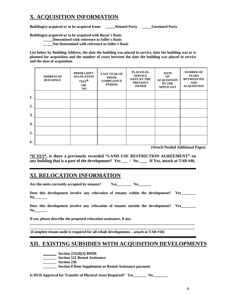# **X. ACQUISITION INFORMATION**

**Building(s) acquired or to be acquired from: \_\_\_\_\_Related Party \_\_\_\_\_Unrelated Party** 

**Building(s) acquired or to be acquired with Buyer's Basis** 

 **\_\_\_\_\_Determined with reference to Seller's Basis** 

Not Determined with reference to Seller's Basis

**List below by Building Address, the date the building was placed in service, date the building was or is planned for acquisition and the number of years between the date the building was placed in service and the date of acquisition.** 

|    | <b>ADDRESS OF</b><br><b>BUILDINGS</b> | PRIOR LIHTC<br><b>ALLOCATION</b><br>$*{\rm v}\kappa*$<br><b>OR</b><br>NO | <b>LAST YEAR OF</b><br><b>PRIOR</b><br><b>COMPLIANCE</b><br><b>PERIOD</b> | PLACED-IN-<br><b>SERVICE</b><br><b>DATE BY THE</b><br><b>PREVIOUS</b><br><b>OWNER</b> | <b>DATE</b><br>OF<br><b>ACQUISITION</b><br><b>BY THE</b><br><b>APPLICANT</b> | <b>NUMBER OF</b><br><b>YEARS</b><br><b>BETWEEN PIS</b><br><b>AND</b><br><b>ACQUISITION</b> |
|----|---------------------------------------|--------------------------------------------------------------------------|---------------------------------------------------------------------------|---------------------------------------------------------------------------------------|------------------------------------------------------------------------------|--------------------------------------------------------------------------------------------|
| 1. |                                       |                                                                          |                                                                           |                                                                                       |                                                                              |                                                                                            |
| 2. |                                       |                                                                          |                                                                           |                                                                                       |                                                                              |                                                                                            |
| 3. |                                       |                                                                          |                                                                           |                                                                                       |                                                                              |                                                                                            |
| 4. |                                       |                                                                          |                                                                           |                                                                                       |                                                                              |                                                                                            |
| 5. |                                       |                                                                          |                                                                           |                                                                                       |                                                                              |                                                                                            |
| 6. |                                       |                                                                          |                                                                           |                                                                                       |                                                                              |                                                                                            |

**(Attach Needed Additional Pages)** 

**\*If YES\*, is there a previously recorded "LAND USE RESTRICTION AGREEMENT" on any building that is a part of the development? Yes \_\_\_ / No \_\_\_\_ If Yes, attach at TAB #46.** 

# **XI. RELOCATION INFORMATION**

Are the units currently occupied by tenants? Yes\_\_\_\_\_\_\_\_ No\_\_\_\_\_\_\_\_

Does this development involve any relocation of tenants within the development? Yes **No\_\_\_\_\_\_\_** 

Does this development involve any relocation of tenants outside the development? Yes  $\mathbf{No}$ 

**\_\_\_\_\_\_\_\_\_\_\_\_\_\_\_\_\_\_\_\_\_\_\_\_\_\_\_\_\_\_\_\_\_\_\_\_\_\_\_\_\_\_\_\_\_\_\_\_\_\_\_\_\_\_\_\_\_\_\_\_\_\_\_\_\_\_\_\_\_\_\_\_\_\_\_\_\_\_\_\_\_\_\_\_\_\_\_\_ \_\_\_\_\_\_\_\_\_\_\_\_\_\_\_\_\_\_\_\_\_\_\_\_\_\_\_\_\_\_\_\_\_\_\_\_\_\_\_\_\_\_\_\_\_\_\_\_\_\_\_\_\_\_\_\_\_\_\_\_\_\_\_\_\_\_\_\_\_\_\_\_\_\_\_\_\_\_\_\_\_\_\_\_\_\_\_\_** 

**If yes, please describe the proposed relocation assistance, if any.** 

 **(Complete tenant audit is required for all rehab developments – attach at TAB #18)** 

## **XII. EXISTING SUBSIDIES WITH ACQUISITION DEVELOPMENTS**

**\_\_\_\_\_\_\_ Section 221(d)(3) BMIR** 

**\_\_\_\_\_\_\_ Section 521 Rental Assistance** 

**\_\_\_\_\_\_\_ Section 236** 

**\_\_\_\_\_\_\_ Section 8 Rent Supplement or Rental Assistance payment** 

**Is HUD Approval for Transfer of Physical Asset Required?** Yes No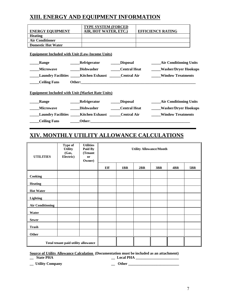# **XIII. ENERGY AND EQUIPMENT INFORMATION**

|                                                               | <b>TYPE SYSTEM (FORCED</b> |                     |                                          |
|---------------------------------------------------------------|----------------------------|---------------------|------------------------------------------|
| <b>ENERGY EQUIPMENT</b>                                       | AIR, HOT WATER, ETC.)      |                     | <b>EFFICIENCY RATING</b>                 |
| <b>Heating</b>                                                |                            |                     |                                          |
| <b>Air Conditioner</b>                                        |                            |                     |                                          |
| <b>Domestic Hot Water</b>                                     |                            |                     |                                          |
| <b>Equipment Included with Unit (Low-Income Units)</b>        |                            |                     |                                          |
| Range                                                         | <b>Refrigerator</b>        | <b>Disposal</b>     | <b>Example 12 Air Conditioning Units</b> |
| <b>Microwave</b>                                              | <b>Dishwasher</b>          | <b>Central Heat</b> | <b>Washer/Dryer Hookups</b>              |
| Laundry Facilities ______ Kitchen Exhaust _______ Central Air |                            |                     | <b>Window Treatments</b>                 |
| <b>Ceiling Fans</b>                                           |                            |                     |                                          |
| <b>Equipment Included with Unit (Market Rate Units)</b>       |                            |                     |                                          |
| Range                                                         | <b>Refrigerator</b>        | <b>Disposal</b>     | <b>Air Conditioning Units</b>            |
| <b>Microwave</b>                                              | <b>Dishwasher</b>          | <b>Central Heat</b> | <b>Washer/Dryer Hookups</b>              |
| Laundry Facilities ______ Kitchen Exhaust _______ Central Air |                            |                     | <b>Window Treatments</b>                 |
| <b>Ceiling Fans</b>                                           | Other:                     |                     |                                          |

# **XIV. MONTHLY UTILITY ALLOWANCE CALCULATIONS**

| <b>UTILITIES</b>                    | Type of<br><b>Utility</b><br>(Gas,<br>Electric) | <b>Utilities</b><br>Paid By<br>(Tenant<br>or<br>Owner) | <b>Utility Allowance/Month</b> |     |     |     |     |            |
|-------------------------------------|-------------------------------------------------|--------------------------------------------------------|--------------------------------|-----|-----|-----|-----|------------|
|                                     |                                                 |                                                        | Eff                            | 1BR | 2BR | 3BR | 4BR | <b>5BR</b> |
| Cooking                             |                                                 |                                                        |                                |     |     |     |     |            |
| <b>Heating</b>                      |                                                 |                                                        |                                |     |     |     |     |            |
| <b>Hot Water</b>                    |                                                 |                                                        |                                |     |     |     |     |            |
| Lighting                            |                                                 |                                                        |                                |     |     |     |     |            |
| <b>Air Conditioning</b>             |                                                 |                                                        |                                |     |     |     |     |            |
| Water                               |                                                 |                                                        |                                |     |     |     |     |            |
| <b>Sewer</b>                        |                                                 |                                                        |                                |     |     |     |     |            |
| <b>Trash</b>                        |                                                 |                                                        |                                |     |     |     |     |            |
| <b>Other</b>                        |                                                 |                                                        |                                |     |     |     |     |            |
| Total tenant paid utility allowance |                                                 |                                                        |                                |     |     |     |     |            |

#### **Source of Utility Allowance Calculation (Documentation must be included as an attachment)**

**\_\_ State PHA \_\_ Local PHA \_\_\_\_\_\_\_\_\_\_\_\_\_\_\_\_\_\_\_\_\_\_\_** 

**\_\_ Utility Company \_\_ Other \_\_\_\_\_\_\_\_\_\_\_\_\_\_\_\_\_\_\_\_\_\_\_\_\_\_\_**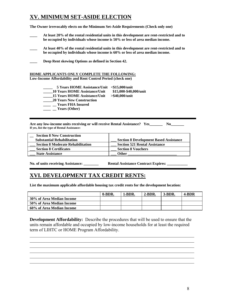# **XV. MINIMUM SET-ASIDE ELECTION**

**The Owner irrevocably elects on the Minimum Set-Aside Requirements (Check only one)** 

- **\_\_\_\_ At least 20% of the rental residential units in this development are rent-restricted and to be occupied by individuals whose income is 50% or less of area median income.**
- **\_\_\_\_ At least 40% of the rental residential units in this development are rent-restricted and to be occupied by individuals whose income is 60% or less of area median income.**
- **\_\_\_\_ Deep Rent skewing Options as defined in Section 42.**

#### **HOME APPLICANTS ONLY COMPLETE THE FOLLOWING:**

**Low-Income Affordability and Rent Control Period (check one)** 

- **\_\_\_\_\_ 5 Years HOME Assistance/Unit <\$15,000/unit \_\_\_\_\_10 Years HOME Assistance/Unit \$15,000-\$40,000/unit \_\_\_\_\_15 Years HOME Assistance/Unit >\$40,000/unit \_\_\_\_\_20 Years New Construction \_\_\_\_ \_\_ Years FHA Insured \_\_\_\_ \_\_ Years (Other)**
- Are any low-income units receiving or will receive Rental Assistance? Yes No **If yes, list the type of Rental Assistance:**

| <b>Section 8 New Construction</b><br><b>Substantial Rehabilitation</b> | <b>Section 8 Development Based Assistance</b> |
|------------------------------------------------------------------------|-----------------------------------------------|
| <b>Section 8 Moderate Rehabilitation</b>                               | <b>Section 521 Rental Assistance</b>          |
| <b>Section 8 Certificates</b>                                          | <b>Section 8 Vouchers</b>                     |
| <b>State Assistance</b>                                                | Other                                         |

No. of units receiving Assistance: \_\_\_\_\_\_\_\_\_\_ Rental Assistance Contract Expires:

## **XVI. DEVELOPMENT TAX CREDIT RENTS:**

**List the maximum applicable affordable housing tax credit rents for the development location:** 

|                           | 0-BDR. | -BDR. | $2-BDR.$ | $3-BDR.$ | 4-BDR |
|---------------------------|--------|-------|----------|----------|-------|
| 30% of Area Median Income |        |       |          |          |       |
| 50% of Area Median Income |        |       |          |          |       |
| 60% of Area Median Income |        |       |          |          |       |

**Development Affordability:** Describe the procedures that will be used to ensure that the units remain affordable and occupied by low-income households for at least the required term of LIHTC or HOME Program Affordability.

 $\mathcal{L}_\mathcal{L} = \{ \mathcal{L}_\mathcal{L} = \{ \mathcal{L}_\mathcal{L} = \{ \mathcal{L}_\mathcal{L} = \{ \mathcal{L}_\mathcal{L} = \{ \mathcal{L}_\mathcal{L} = \{ \mathcal{L}_\mathcal{L} = \{ \mathcal{L}_\mathcal{L} = \{ \mathcal{L}_\mathcal{L} = \{ \mathcal{L}_\mathcal{L} = \{ \mathcal{L}_\mathcal{L} = \{ \mathcal{L}_\mathcal{L} = \{ \mathcal{L}_\mathcal{L} = \{ \mathcal{L}_\mathcal{L} = \{ \mathcal{L}_\mathcal{$  $\mathcal{L}_\mathcal{L} = \{ \mathcal{L}_\mathcal{L} = \{ \mathcal{L}_\mathcal{L} = \{ \mathcal{L}_\mathcal{L} = \{ \mathcal{L}_\mathcal{L} = \{ \mathcal{L}_\mathcal{L} = \{ \mathcal{L}_\mathcal{L} = \{ \mathcal{L}_\mathcal{L} = \{ \mathcal{L}_\mathcal{L} = \{ \mathcal{L}_\mathcal{L} = \{ \mathcal{L}_\mathcal{L} = \{ \mathcal{L}_\mathcal{L} = \{ \mathcal{L}_\mathcal{L} = \{ \mathcal{L}_\mathcal{L} = \{ \mathcal{L}_\mathcal{$  $\mathcal{L}_\mathcal{L} = \{ \mathcal{L}_\mathcal{L} = \{ \mathcal{L}_\mathcal{L} = \{ \mathcal{L}_\mathcal{L} = \{ \mathcal{L}_\mathcal{L} = \{ \mathcal{L}_\mathcal{L} = \{ \mathcal{L}_\mathcal{L} = \{ \mathcal{L}_\mathcal{L} = \{ \mathcal{L}_\mathcal{L} = \{ \mathcal{L}_\mathcal{L} = \{ \mathcal{L}_\mathcal{L} = \{ \mathcal{L}_\mathcal{L} = \{ \mathcal{L}_\mathcal{L} = \{ \mathcal{L}_\mathcal{L} = \{ \mathcal{L}_\mathcal{$  $\mathcal{L}_\text{max} = \mathcal{L}_\text{max} = \mathcal{L}_\text{max} = \mathcal{L}_\text{max} = \mathcal{L}_\text{max} = \mathcal{L}_\text{max} = \mathcal{L}_\text{max} = \mathcal{L}_\text{max} = \mathcal{L}_\text{max} = \mathcal{L}_\text{max} = \mathcal{L}_\text{max} = \mathcal{L}_\text{max} = \mathcal{L}_\text{max} = \mathcal{L}_\text{max} = \mathcal{L}_\text{max} = \mathcal{L}_\text{max} = \mathcal{L}_\text{max} = \mathcal{L}_\text{max} = \mathcal{$  $\mathcal{L}_\text{max} = \mathcal{L}_\text{max} = \mathcal{L}_\text{max} = \mathcal{L}_\text{max} = \mathcal{L}_\text{max} = \mathcal{L}_\text{max} = \mathcal{L}_\text{max} = \mathcal{L}_\text{max} = \mathcal{L}_\text{max} = \mathcal{L}_\text{max} = \mathcal{L}_\text{max} = \mathcal{L}_\text{max} = \mathcal{L}_\text{max} = \mathcal{L}_\text{max} = \mathcal{L}_\text{max} = \mathcal{L}_\text{max} = \mathcal{L}_\text{max} = \mathcal{L}_\text{max} = \mathcal{$  $\mathcal{L}_\mathcal{L} = \{ \mathcal{L}_\mathcal{L} = \{ \mathcal{L}_\mathcal{L} = \{ \mathcal{L}_\mathcal{L} = \{ \mathcal{L}_\mathcal{L} = \{ \mathcal{L}_\mathcal{L} = \{ \mathcal{L}_\mathcal{L} = \{ \mathcal{L}_\mathcal{L} = \{ \mathcal{L}_\mathcal{L} = \{ \mathcal{L}_\mathcal{L} = \{ \mathcal{L}_\mathcal{L} = \{ \mathcal{L}_\mathcal{L} = \{ \mathcal{L}_\mathcal{L} = \{ \mathcal{L}_\mathcal{L} = \{ \mathcal{L}_\mathcal{$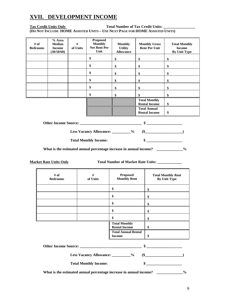# **XVII. DEVELOPMENT INCOME**

#### Tax Credit Units Only Total Number of Tax Credit Units: **(DO NOT INCLUDE HOME ASSISTED UNITS – USE NEXT PAGE FOR HOME ASSISTED UNITS)**

| # of<br><b>Bedrooms</b> | % Area<br><b>Median</b><br><b>Income</b><br>(30/50/60) | #<br>of Units | <b>Proposed</b><br><b>Monthly</b><br><b>Net Rent Per</b><br>Unit | <b>Monthly</b><br><b>Utility</b><br><b>Allowance</b> | <b>Monthly Gross</b><br><b>Rent Per Unit</b> | <b>Total Monthly</b><br><b>Income</b><br>By Unit Type |
|-------------------------|--------------------------------------------------------|---------------|------------------------------------------------------------------|------------------------------------------------------|----------------------------------------------|-------------------------------------------------------|
|                         |                                                        |               | \$                                                               | \$                                                   | \$                                           | \$                                                    |
|                         |                                                        |               | \$                                                               | \$                                                   | \$                                           | \$                                                    |
|                         |                                                        |               | \$                                                               | \$                                                   | \$                                           | \$                                                    |
|                         |                                                        |               | \$                                                               | \$                                                   | \$                                           | \$                                                    |
|                         |                                                        |               | \$                                                               | \$                                                   | \$                                           | \$                                                    |
|                         |                                                        |               | \$                                                               | \$                                                   | \$                                           | \$                                                    |
|                         |                                                        |               |                                                                  |                                                      | <b>Total Monthly</b><br><b>Rental Income</b> | \$                                                    |
|                         |                                                        |               |                                                                  |                                                      | <b>Total Annual</b><br><b>Rental Income</b>  | \$                                                    |

**Other Income Source: \_\_\_\_\_\_\_\_\_\_\_\_\_\_\_\_\_\_\_\_\_\_\_\_\_\_\_\_\_\_\_\_\_ \$ \_\_\_\_\_\_\_\_\_\_\_\_\_\_\_\_\_\_\_** 

 **Less Vacancy Allowance: \_\_\_\_\_\_\_\_\_\_% (\$\_\_\_\_\_\_\_\_\_\_\_\_\_\_\_\_\_\_\_\_)** 

 **Total Monthly Income: \$ \_\_\_\_\_\_\_\_\_\_\_\_\_\_\_\_\_\_\_** 

What is the estimated annual percentage increase in annual income? \_\_\_\_\_\_\_\_\_\_\_\_\_\_ %

| <b>Market Rate Units Only</b> |  |  |
|-------------------------------|--|--|
|                               |  |  |

Total Number of Market Rate Units: \_\_\_\_\_\_\_\_\_\_\_\_\_

| # of<br><b>Bedrooms</b>                                            | #<br>of Units                        | <b>Proposed</b><br><b>Monthly Rent</b>       | <b>Total Monthly Rent</b><br><b>By Unit Type</b> |
|--------------------------------------------------------------------|--------------------------------------|----------------------------------------------|--------------------------------------------------|
|                                                                    |                                      | \$                                           | \$                                               |
|                                                                    |                                      | \$                                           | \$                                               |
|                                                                    |                                      | \$                                           | \$                                               |
|                                                                    |                                      | \$                                           | \$                                               |
|                                                                    |                                      | \$                                           | \$                                               |
|                                                                    |                                      | <b>Total Monthly</b><br><b>Rental Income</b> | \$                                               |
|                                                                    |                                      | <b>Total Annual Rental</b><br><b>Income</b>  | \$                                               |
|                                                                    |                                      |                                              | $\frac{\text{S}}{\text{S}}$                      |
|                                                                    | Less Vacancy Allowance: 2008/09/2010 |                                              | $\left(\frac{2}{3}\right)$                       |
|                                                                    | <b>Total Monthly Income:</b>         |                                              | $\sim$                                           |
| What is the estimated annual percentage increase in annual income? |                                      |                                              | $\frac{0}{0}$                                    |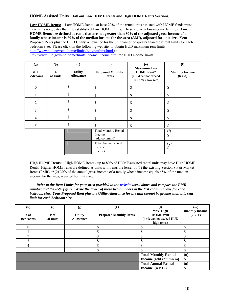#### **HOME Assisted Units (Fill out Low HOME Rents and High HOME Rents Sections)**

Low HOME Rents: Low HOME Rents - at least 20% of the rental units assisted with HOME funds must have rents no greater than the established Low HOME Rents. These are very low-income families. **Low HOME Rents are defined as rents that are not greater than 30% of the adjusted gross income of a family whose income is 50% of the median income for the area (AMI), adjusted for unit size.** Your Proposed Rents plus the HUD Utility Allowance for the unit cannot be greater than these rent limits for each bedroom size. Please click on the following website to obtain HUD maximum rent limits http://www.hud.gov/cpd/home/limits/rent/rentlimt.html and http://www.hud.gov/cpd/home/limits/income/income.html for HUD income limits.

| (a)<br># of<br><b>Bedrooms</b> | (b)<br>#<br>of Units | (c)<br><b>Utility</b><br><b>Allowance</b> | (d)<br><b>Proposed Monthly</b><br><b>Rents</b>          | (e)<br><b>Maximum Low</b><br><b>HOME Rent*</b><br>$(c + d$ cannot exceed<br>HUD max low rent) | (f)<br><b>Monthly Income</b><br>(b x d) |
|--------------------------------|----------------------|-------------------------------------------|---------------------------------------------------------|-----------------------------------------------------------------------------------------------|-----------------------------------------|
| $\boldsymbol{0}$               |                      | \$                                        | \$                                                      | \$                                                                                            | \$                                      |
|                                |                      | \$                                        | \$                                                      | \$                                                                                            | \$                                      |
| $\overline{2}$                 |                      | \$                                        | \$                                                      | \$                                                                                            | \$                                      |
| 3                              |                      | \$                                        | \$                                                      | \$                                                                                            | \$                                      |
| $\overline{4}$                 |                      | \$                                        | \$                                                      | \$                                                                                            | \$                                      |
| 5                              |                      | \$                                        | \$                                                      | \$                                                                                            | \$                                      |
|                                |                      |                                           | <b>Total Monthly Rental</b><br>Income<br>(add column d) |                                                                                               | (f)<br>\$                               |
|                                |                      |                                           | <b>Total Annual Rental</b><br>Income<br>$(f \times 12)$ |                                                                                               | (g)<br>\$                               |

**High HOME Rents**: High HOME Rents - up to 80% of HOME-assisted rental units may have High HOME Rents. Higher HOME rents are defined as units with rents the lesser of (1) the existing Section 8 Fair Market Rents (FMR) or (2) 30% of the annual gross income of a family whose income equals 65% of the median income for the area, adjusted for unit size.

*Refer to the Rent Limits for your area provided in the website listed above and compare the FMR number and the 65% figure. Write the lower of these two numbers in the last column above for each bedroom size. Your Proposed Rent plus the Utility Allowance for the unit cannot be greater than this rent limit for each bedroom size.* 

| (h)             | (i)      | (j)              | $\left( \mathbf{k}\right)$    | (I)                                 | (m)                                      |
|-----------------|----------|------------------|-------------------------------|-------------------------------------|------------------------------------------|
|                 |          |                  |                               | Max High                            | monthly income                           |
| # of            | # of     | <b>Utility</b>   | <b>Proposed Monthly Rents</b> | <b>HOME</b> rent                    | $(i \times k)$                           |
| <b>Bedrooms</b> | of units | <b>Allowance</b> |                               | $(j + k \text{ cannot exceed HUD})$ |                                          |
|                 |          |                  |                               | high rents)                         |                                          |
| $\theta$        |          |                  | Φ                             |                                     | Φ                                        |
|                 |          |                  |                               |                                     |                                          |
| າ               |          |                  |                               |                                     |                                          |
|                 |          |                  | ₼                             | Φ                                   | ₼                                        |
| 4               |          |                  |                               |                                     |                                          |
|                 |          |                  | \$                            |                                     | \$                                       |
|                 |          |                  |                               | <b>Total Monthly Rental</b>         | (n)                                      |
|                 |          |                  |                               | Income (add column m)               | \$                                       |
|                 |          |                  |                               | <b>Total Annual Rental</b>          | $\boldsymbol{\left( \mathbf{0}\right) }$ |
|                 |          |                  |                               | Income $(n \times 12)$              | ъ                                        |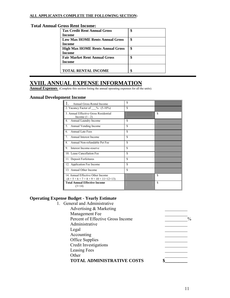#### **ALL APPLICANTS COMPLETE THE FOLLOWING SECTION:**

#### **Total Annual Gross Rent Income:**

| <b>Tax Credit Rent Annual Gross</b>     | \$ |
|-----------------------------------------|----|
| Income                                  |    |
| <b>Low Max HOME Rents Annual Gross</b>  | \$ |
| <b>Income</b>                           |    |
| <b>High Max HOME Rents Annual Gross</b> | \$ |
| Income                                  |    |
| <b>Fair Market Rent Annual Gross</b>    | \$ |
| Income                                  |    |
|                                         |    |
| <b>TOTAL RENTAL INCOME</b>              | \$ |
|                                         |    |

## **XVIII. ANNUAL EXPENSE INFORMATION**

**Annual Expenses** (Complete this section listing the annual operating expenses for all the units).

#### **Annual Development Income**

| Annual Gross Rental Income                                       | \$ |   |
|------------------------------------------------------------------|----|---|
| 2. Vacancy Factor of $\%$ (5-10%)                                | S  |   |
| 3. Annual Effective Gross Residential<br>Income $(1 - 2)$        |    | S |
| Annual Laundry Income<br>4.                                      | S  |   |
| 5.<br>Annual Vending Income                                      | S  |   |
| <b>Annual Late Fees</b><br>6.                                    | \$ |   |
| 7 <sub>1</sub><br>Annual Interest Income                         | S  |   |
| 8.<br>Annual Non-refundable Pet Fee                              | \$ |   |
| 9.<br>Interest Income-reserve                                    | \$ |   |
| 10. Lease Cancellation Fee                                       | \$ |   |
| 11. Deposit Forfeitures                                          | \$ |   |
| 12. Application Fee Income                                       | S  |   |
| 13. Annual Other Income                                          | \$ |   |
| 14. Annual Effective Other Income<br>$(4+5+6+7+8+9+10+11+12+13)$ |    | S |
| <b>Total Annual Effective Income</b><br>$(3+14)$                 |    | S |

#### **Operating Expense Budget - Yearly Estimate**

| 1. General and Administrative     |      |
|-----------------------------------|------|
| Advertising & Marketing           |      |
| Management Fee                    |      |
| Percent of Effective Gross Income | $\%$ |
| Administrative                    |      |
| Legal                             |      |
| Accounting                        |      |
| Office Supplies                   |      |
| <b>Credit Investigations</b>      |      |
| Leasing Fees                      |      |
| Other                             |      |
| <b>TOTAL ADMINISTRATIVE COSTS</b> |      |
|                                   |      |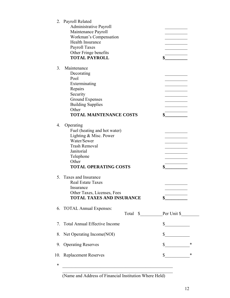|             | 2. Payroll Related<br>Administrative Payroll<br>Maintenance Payroll<br>Workman's Compensation<br><b>Health Insurance</b><br>Payroll Taxes<br>Other Fringe benefits<br><b>TOTAL PAYROLL</b> | \$                          |   |
|-------------|--------------------------------------------------------------------------------------------------------------------------------------------------------------------------------------------|-----------------------------|---|
| 3.          | Maintenance<br>Decorating<br>Pool<br>Exterminating<br>Repairs<br>Security<br><b>Ground Expenses</b><br><b>Building Supplies</b><br>Other<br><b>TOTAL MAINTENANCE COSTS</b>                 |                             |   |
| 4.          | Operating<br>Fuel (heating and hot water)<br>Lighting & Misc. Power<br>Water/Sewer<br><b>Trash Removal</b><br>Janitorial<br>Telephone<br>Other<br><b>TOTAL OPERATING COSTS</b>             | \$                          |   |
| $5_{-}$     | Taxes and Insurance<br><b>Real Estate Taxes</b><br>Insurance<br>Other Taxes, Licenses, Fees<br><b>TOTAL TAXES AND INSURANCE</b>                                                            |                             |   |
|             | 6. TOTAL Annual Expenses:<br>Total \$                                                                                                                                                      | Per Unit \$                 |   |
| $7_{\cdot}$ | <b>Total Annual Effective Income</b>                                                                                                                                                       | $\frac{\text{S}}{\text{S}}$ |   |
|             | 8. Net Operating Income(NOI)                                                                                                                                                               | $\frac{\text{S}}{\text{S}}$ |   |
|             | 9. Operating Reserves                                                                                                                                                                      | $\sim$                      | ∗ |
|             | 10. Replacement Reserves                                                                                                                                                                   | \$                          | ∗ |
| *           |                                                                                                                                                                                            |                             |   |

(Name and Address of Financial Institution Where Held)

 $\mathcal{L}_\text{max} = \frac{1}{2} \sum_{i=1}^n \frac{1}{2} \sum_{i=1}^n \frac{1}{2} \sum_{i=1}^n \frac{1}{2} \sum_{i=1}^n \frac{1}{2} \sum_{i=1}^n \frac{1}{2} \sum_{i=1}^n \frac{1}{2} \sum_{i=1}^n \frac{1}{2} \sum_{i=1}^n \frac{1}{2} \sum_{i=1}^n \frac{1}{2} \sum_{i=1}^n \frac{1}{2} \sum_{i=1}^n \frac{1}{2} \sum_{i=1}^n \frac{1}{2} \sum_{i=1}^n$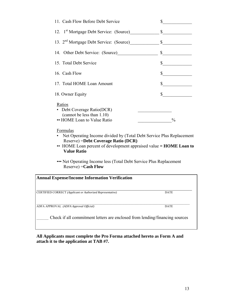13

| 11. Cash Flow Before Debt Service                                                                | \$            |
|--------------------------------------------------------------------------------------------------|---------------|
| 12. 1 <sup>st</sup> Mortgage Debt Service: (Source)                                              | $\mathbb{S}$  |
| 13. 2 <sup>nd</sup> Mortgage Debt Service: (Source)                                              | $\mathbb{S}$  |
| 14. Other Debt Service: (Source)                                                                 | $\mathbb{S}$  |
| 15. Total Debt Service                                                                           | \$            |
| 16. Cash Flow                                                                                    | \$            |
| 17. Total HOME Loan Amount                                                                       | \$            |
| 18. Owner Equity                                                                                 | S             |
| Ratios<br>• Debt Coverage Ratio(DCR)<br>(cannot be less than 1.10)<br>• HOME Loan to Value Ratio | $\frac{0}{0}$ |

#### Formulas

- Net Operating Income divided by (Total Debt Service Plus Replacement Reserve) =**Debt Coverage Ratio (DCR)**
- •• HOME Loan percent of development appraised value **= HOME Loan to Value Ratio**
- ••• Net Operating Income less (Total Debt Service Plus Replacement Reserve) =**Cash Flow**

| <b>Annual Expense/Income Information Verification</b>                       |             |  |  |  |
|-----------------------------------------------------------------------------|-------------|--|--|--|
| <b>CERTIFIED CORRECT</b> (Applicant or Authorized Representative)           | <b>DATE</b> |  |  |  |
| ADFA APPROVAL (ADFA Approval Official)                                      | <b>DATE</b> |  |  |  |
| Check if all commitment letters are enclosed from lending/financing sources |             |  |  |  |

#### **All Applicants must complete the Pro Forma attached hereto as Form A and attach it to the application at TAB #7.**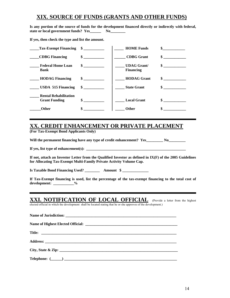## **XIX. SOURCE OF FUNDS (GRANTS AND OTHER FUNDS)**

**Is any portion of the source of funds for the development financed directly or indirectly with federal, state or local government funds? Yes\_\_\_\_\_\_ No\_\_\_\_\_\_\_\_** 

**If yes, then check the type and list the amount.** 

| Tax-Exempt Financing \$                              |                             | <b>HOME Funds</b>                      |               |
|------------------------------------------------------|-----------------------------|----------------------------------------|---------------|
| <b>CDBG</b> Financing                                | $\degree$                   | <b>CDBG</b> Grant                      | \$            |
| <b>Federal Home Loan</b><br><b>Bank</b>              | $\frac{1}{2}$               | <b>UDAG</b> Grant/<br><b>Financing</b> | $\sim$ $\sim$ |
| <b>HODAG Financing</b>                               | $\sim$                      | <b>HODAG</b> Grant                     | $\mathbf{s}$  |
| <b>USDA 515 Financing</b>                            | $\frac{\text{S}}{\text{S}}$ | <b>State Grant</b>                     | $\sim$        |
| <b>Rental Rehabilitation</b><br><b>Grant Funding</b> | $\sim$                      | <b>Local Grant</b>                     | $\mathbf{s}$  |
| <b>Other</b>                                         | \$                          | <b>Other</b>                           |               |

## **XX. CREDIT ENHANCEMENT OR PRIVATE PLACEMENT**

**(For Tax-Exempt Bond Applicants Only)** 

Will the permanent financing have any type of credit enhancement? Yes\_\_\_\_\_\_\_\_\_\_ No\_\_\_\_\_\_\_

If yes, list type of enhancement(s):  $\qquad \qquad$ 

**If not, attach an Investor Letter from the Qualified Investor as defined in IX(F) of the 2005 Guidelines for Allocating Tax-Exempt Multi-Family Private Activity Volume Cap.** 

**Is Taxable Bond Financing Used? \_\_\_\_\_\_\_\_ Amount \$ \_\_\_\_\_\_\_\_\_\_\_\_\_\_** 

**If Tax-Exempt financing is used, list the percentage of the tax-exempt financing to the total cost of development: \_\_\_\_\_\_\_\_\_\_\_%** 

## **XXI. NOTIFICATION OF LOCAL OFFICIAL** (Provide a letter from the highest

elected official in which the development shall be located stating that he or she approves of the development.)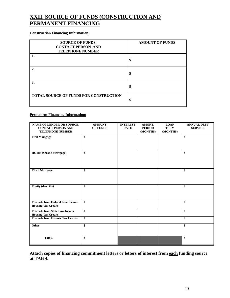# **XXII. SOURCE OF FUNDS (CONSTRUCTION AND PERMANENT FINANCING**

#### **Construction Financing Information:**

| <b>SOURCE OF FUNDS,</b><br><b>CONTACT PERSON AND</b><br><b>TELEPHONE NUMBER</b> | <b>AMOUNT OF FUNDS</b> |
|---------------------------------------------------------------------------------|------------------------|
|                                                                                 | \$                     |
|                                                                                 | \$                     |
| 3.                                                                              | \$                     |
| TOTAL SOURCE OF FUNDS FOR CONSTRUCTION                                          | \$                     |

#### **Permanent Financing Information:**

| NAME OF LENDER OR SOURCE,<br><b>CONTACT PERSON AND</b><br><b>TELEPHONE NUMBER</b> | <b>AMOUNT</b><br><b>OF FUNDS</b> | <b>INTEREST</b><br><b>RATE</b> | AMORT.<br><b>PERIOD</b><br>(MONTHS) | <b>LOAN</b><br><b>TERM</b><br>(MONTHS) | <b>ANNUAL DEBT</b><br><b>SERVICE</b> |
|-----------------------------------------------------------------------------------|----------------------------------|--------------------------------|-------------------------------------|----------------------------------------|--------------------------------------|
| <b>First Mortgage</b>                                                             | \$                               |                                |                                     |                                        | \$                                   |
| <b>HOME</b> (Second Mortgage)                                                     | \$                               |                                |                                     |                                        | $\boldsymbol{\$}$                    |
| <b>Third Mortgage</b>                                                             | \$                               |                                |                                     |                                        | \$                                   |
| <b>Equity (describe)</b>                                                          | \$                               |                                |                                     |                                        | \$                                   |
| <b>Proceeds from Federal Low-Income</b><br><b>Housing Tax Credits</b>             | \$                               |                                |                                     |                                        | \$                                   |
| <b>Proceeds from State Low-Income</b><br><b>Housing Tax Credits</b>               | \$                               |                                |                                     |                                        | \$                                   |
| <b>Proceeds from Historic Tax Credits</b>                                         | \$                               |                                |                                     |                                        | \$                                   |
| Other                                                                             | \$                               |                                |                                     |                                        | \$                                   |
| <b>Totals</b>                                                                     | \$                               |                                |                                     |                                        | \$                                   |

**Attach copies of financing commitment letters or letters of interest from each funding source at TAB 4.**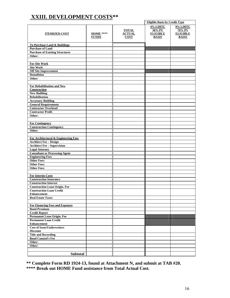|                                                           |                             |                                              | <b>Eligible Basis by Credit Type</b>                  |                                                       |
|-----------------------------------------------------------|-----------------------------|----------------------------------------------|-------------------------------------------------------|-------------------------------------------------------|
| <b>ITEMIZED COST</b>                                      | $HOME$ ****<br><b>FUNDS</b> | <b>TOTAL</b><br><b>ACTUAL</b><br><b>COST</b> | 4% LIHTC<br>30% PV<br><b>ELIGIBLE</b><br><b>BASIS</b> | 9% LIHTC<br>70% PV<br><b>ELIGIBLE</b><br><b>BASIS</b> |
| To Purchase Land & Buildings                              |                             |                                              |                                                       |                                                       |
| <b>Purchase of Land</b>                                   |                             |                                              |                                                       |                                                       |
| <b>Purchase of Existing Structures</b>                    |                             |                                              |                                                       |                                                       |
| Other:                                                    |                             |                                              |                                                       |                                                       |
|                                                           |                             |                                              |                                                       |                                                       |
| <b>For Site Work</b>                                      |                             |                                              |                                                       |                                                       |
| <b>Site Work</b>                                          |                             |                                              |                                                       |                                                       |
| <b>Off Site Improvement</b>                               |                             |                                              |                                                       |                                                       |
| <b>Demolition</b>                                         |                             |                                              |                                                       |                                                       |
| Other:                                                    |                             |                                              |                                                       |                                                       |
|                                                           |                             |                                              |                                                       |                                                       |
| For Rehabilitation and New                                |                             |                                              |                                                       |                                                       |
| Construction                                              |                             |                                              |                                                       |                                                       |
| <b>New Building</b>                                       |                             |                                              |                                                       |                                                       |
| <b>Rehabilitation</b>                                     |                             |                                              |                                                       |                                                       |
| <b>Accessory Building</b>                                 |                             |                                              |                                                       |                                                       |
| <b>General Requirements</b>                               |                             |                                              |                                                       |                                                       |
| <b>Contractor Overhead</b>                                |                             |                                              |                                                       |                                                       |
| <b>Contractor Profit</b>                                  |                             |                                              |                                                       |                                                       |
| Other:                                                    |                             |                                              |                                                       |                                                       |
|                                                           |                             |                                              |                                                       |                                                       |
| <b>For Contingency</b>                                    |                             |                                              |                                                       |                                                       |
| <b>Construction Contingency</b>                           |                             |                                              |                                                       |                                                       |
| Other:                                                    |                             |                                              |                                                       |                                                       |
|                                                           |                             |                                              |                                                       |                                                       |
| For Architectural & Engineering Fees                      |                             |                                              |                                                       |                                                       |
| <b>Architect Fee - Design</b>                             |                             |                                              |                                                       |                                                       |
| <b>Architect Fee - Supervision</b>                        |                             |                                              |                                                       |                                                       |
| <b>Legal Attorney</b>                                     |                             |                                              |                                                       |                                                       |
| <b>Consultant or Processing Agent</b>                     |                             |                                              |                                                       |                                                       |
| <b>Engineering Fees</b>                                   |                             |                                              |                                                       |                                                       |
| <b>Other Fees:</b>                                        |                             |                                              |                                                       |                                                       |
| <b>Other Fees:</b>                                        |                             |                                              |                                                       |                                                       |
| <b>Other Fees:</b>                                        |                             |                                              |                                                       |                                                       |
|                                                           |                             |                                              |                                                       |                                                       |
| <b>For Interim Costs</b><br><b>Construction Insurance</b> |                             |                                              |                                                       |                                                       |
| <b>Construction Interest</b>                              |                             |                                              |                                                       |                                                       |
| <b>Construction Loan Origin. Fee</b>                      |                             |                                              |                                                       |                                                       |
|                                                           |                             |                                              |                                                       |                                                       |
| <b>Construction Loan Credit</b><br><b>Enhancement</b>     |                             |                                              |                                                       |                                                       |
| <b>Real Estate Taxes</b>                                  |                             |                                              |                                                       |                                                       |
|                                                           |                             |                                              |                                                       |                                                       |
| <b>For Financing Fees and Expenses</b>                    |                             |                                              |                                                       |                                                       |
| <b>Bond Premium</b>                                       |                             |                                              |                                                       |                                                       |
| <b>Credit Report</b>                                      |                             |                                              |                                                       |                                                       |
| <b>Permanent Loan Origin. Fee</b>                         |                             |                                              |                                                       |                                                       |
| <b>Permanent Loan Credit</b>                              |                             |                                              |                                                       |                                                       |
| <b>Enhancement</b>                                        |                             |                                              |                                                       |                                                       |
| <b>Cost of Issue/Underwriters</b>                         |                             |                                              |                                                       |                                                       |
| <b>Discount</b>                                           |                             |                                              |                                                       |                                                       |
| <b>Title and Recording</b>                                |                             |                                              |                                                       |                                                       |
| <b>Bond Counsel's Fee</b>                                 |                             |                                              |                                                       |                                                       |
| Other:                                                    |                             |                                              |                                                       |                                                       |
| Other:                                                    |                             |                                              |                                                       |                                                       |
|                                                           |                             |                                              |                                                       |                                                       |
| <b>Subtotal</b>                                           |                             |                                              |                                                       |                                                       |
|                                                           |                             |                                              |                                                       |                                                       |

**\*\* Complete Form RD 1924-13, found at Attachment N, and submit at TAB #20. \*\*\*\* Break out HOME Fund assistance from Total Actual Cost.**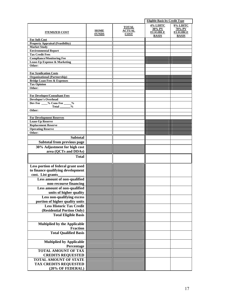|                                                                      |                             |                                              | <b>Eligible Basis by Credit Type</b>                  |                                                       |
|----------------------------------------------------------------------|-----------------------------|----------------------------------------------|-------------------------------------------------------|-------------------------------------------------------|
| <b>ITEMIZED COST</b>                                                 | <b>HOME</b><br><b>FUNDS</b> | <b>TOTAL</b><br><b>ACTUAL</b><br><b>COST</b> | 4% LIHTC<br>30% PV<br><b>ELIGIBLE</b><br><b>BASIS</b> | 9% LIHTC<br>70% PV<br><b>ELIGIBLE</b><br><b>BASIS</b> |
| <b>For Soft Cost</b>                                                 |                             |                                              |                                                       |                                                       |
| <b>Property Appraisal (Feasibility)</b><br><b>Market Study</b>       |                             |                                              |                                                       |                                                       |
| <b>Environmental Report</b>                                          |                             |                                              |                                                       |                                                       |
| <b>Tax Credit Fees</b>                                               |                             |                                              |                                                       |                                                       |
| <b>Compliance/Monitoring Fee</b>                                     |                             |                                              |                                                       |                                                       |
| Lease-Up Expense & Marketing                                         |                             |                                              |                                                       |                                                       |
| Other:                                                               |                             |                                              |                                                       |                                                       |
| <b>For Syndication Costs</b>                                         |                             |                                              |                                                       |                                                       |
| <b>Organizational (Partnership)</b>                                  |                             |                                              |                                                       |                                                       |
| <b>Bridge Loan Fees &amp; Expenses</b>                               |                             |                                              |                                                       |                                                       |
| <b>Tax Opinion</b>                                                   |                             |                                              |                                                       |                                                       |
| Other:                                                               |                             |                                              |                                                       |                                                       |
| <b>For Developer/Consultant Fees</b>                                 |                             |                                              |                                                       |                                                       |
| <b>Developer's Overhead</b>                                          |                             |                                              |                                                       |                                                       |
| Dev Fee % Cons Fee<br>$\frac{0}{0}$<br><b>Total</b><br>$\frac{0}{0}$ |                             |                                              |                                                       |                                                       |
| Other:                                                               |                             |                                              |                                                       |                                                       |
| <b>For Development Reserves</b>                                      |                             |                                              |                                                       |                                                       |
| <b>Lease-Up Reserve</b>                                              |                             |                                              |                                                       |                                                       |
| <b>Replacement Reserve</b>                                           |                             |                                              |                                                       |                                                       |
| <b>Operating Reserve</b><br>Other:                                   |                             |                                              |                                                       |                                                       |
| <b>Subtotal</b>                                                      |                             |                                              |                                                       |                                                       |
| Subtotal from previous page                                          |                             |                                              |                                                       |                                                       |
| 30% Adjustment for high cost                                         |                             |                                              |                                                       |                                                       |
| area (QCTs and DDAs)                                                 |                             |                                              |                                                       |                                                       |
|                                                                      |                             |                                              |                                                       |                                                       |
| Total                                                                |                             |                                              |                                                       |                                                       |
| Less portion of federal grant used                                   |                             |                                              |                                                       |                                                       |
| to finance qualifying development                                    |                             |                                              |                                                       |                                                       |
| cost. List grants                                                    |                             |                                              |                                                       |                                                       |
| Less amount of non-qualified                                         |                             |                                              |                                                       |                                                       |
| non-recourse financing                                               |                             |                                              |                                                       |                                                       |
| Less amount of non-qualified                                         |                             |                                              |                                                       |                                                       |
| units of higher quality                                              |                             |                                              |                                                       |                                                       |
| Less non-qualifying excess                                           |                             |                                              |                                                       |                                                       |
| portion of higher quality units                                      |                             |                                              |                                                       |                                                       |
| <b>Less Historic Tax Credit</b>                                      |                             |                                              |                                                       |                                                       |
| (Residential Portion Only)                                           |                             |                                              |                                                       |                                                       |
| <b>Total Eligible Basis</b>                                          |                             |                                              |                                                       |                                                       |
| <b>Multiplied by the Applicable</b>                                  |                             |                                              |                                                       |                                                       |
| <b>Fraction</b>                                                      |                             |                                              |                                                       |                                                       |
| <b>Total Qualified Basis</b>                                         |                             |                                              |                                                       |                                                       |
| <b>Multiplied by Applicable</b>                                      |                             |                                              |                                                       |                                                       |
| Percentage                                                           |                             |                                              |                                                       |                                                       |
| <b>TOTAL AMOUNT OF TAX</b>                                           |                             |                                              |                                                       |                                                       |
| <b>CREDITS REQUESTED</b>                                             |                             |                                              |                                                       |                                                       |
| <b>TOTAL AMOUNT OF STATE</b>                                         |                             |                                              |                                                       |                                                       |
| <b>TAX CREDITS REQUESTED</b>                                         |                             |                                              |                                                       |                                                       |
| (20% OF FEDERAL)                                                     |                             |                                              |                                                       |                                                       |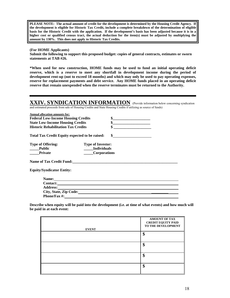**PLEASE NOTE: The actual amount of credit for the development is determined by the Housing Credit Agency. If the development is eligible for Historic Tax Credit, include a complete breakdown of the determination of eligible basis for the Historic Credit with the application. If the development's basis has been adjusted because it is in a higher cost or qualified census tract, the actual deduction for the item(s) must be adjusted by multiplying the amount by 130%. This does not apply to Historic Tax Credits.** 

**(For HOME Applicants) Submit the following to support this proposed budget: copies of general contracts, estimates or sworn statements at TAB #26.** 

**\*When used for new construction, HOME funds may be used to fund an initial operating deficit reserve, which is a reserve to meet any shortfall in development income during the period of development rent-up (not to exceed 18 months) and which may only be used to pay operating expenses, reserve for replacement payments and debt service. Any HOME funds placed in an operating deficit reserve that remain unexpended when the reserve terminates must be returned to the Authority.** 

#### **XXIV. SYNDICATION INFORMATION** (Provide information below concerning syndication

and estimated proceeds from sale of Housing Credits and State Housing Credits if utilizing as source of funds)

| <b>Annual allocation amounts for:</b>                                                                                                                                                                                         |                          |                                                                                                                                                                                                                                                                                                                                                                                                         |  |
|-------------------------------------------------------------------------------------------------------------------------------------------------------------------------------------------------------------------------------|--------------------------|---------------------------------------------------------------------------------------------------------------------------------------------------------------------------------------------------------------------------------------------------------------------------------------------------------------------------------------------------------------------------------------------------------|--|
| <b>Federal Low-Income Housing Credits</b>                                                                                                                                                                                     |                          | $\frac{1}{2}$                                                                                                                                                                                                                                                                                                                                                                                           |  |
| <b>State Low-Income Housing Credits</b><br><b>Historic Rehabilitation Tax Credits</b>                                                                                                                                         |                          | $\frac{\frac{1}{2} + \frac{1}{2} + \frac{1}{2} + \frac{1}{2} + \frac{1}{2} + \frac{1}{2} + \frac{1}{2} + \frac{1}{2} + \frac{1}{2} + \frac{1}{2} + \frac{1}{2} + \frac{1}{2} + \frac{1}{2} + \frac{1}{2} + \frac{1}{2} + \frac{1}{2} + \frac{1}{2} + \frac{1}{2} + \frac{1}{2} + \frac{1}{2} + \frac{1}{2} + \frac{1}{2} + \frac{1}{2} + \frac{1}{2} + \frac{1}{2} + \frac{1}{2} + \frac{1}{2} + \frac$ |  |
|                                                                                                                                                                                                                               |                          | <u> 1989 - Johann Barn, mars and de Brasilia (b. 1989)</u>                                                                                                                                                                                                                                                                                                                                              |  |
| <b>Total Tax Credit Equity expected to be raised:</b>                                                                                                                                                                         |                          | the control of the control of the control of                                                                                                                                                                                                                                                                                                                                                            |  |
| <b>Type of Offering:</b>                                                                                                                                                                                                      | <b>Type of Investor:</b> |                                                                                                                                                                                                                                                                                                                                                                                                         |  |
| <b>Public</b>                                                                                                                                                                                                                 | Individuals              |                                                                                                                                                                                                                                                                                                                                                                                                         |  |
| <b>Private</b>                                                                                                                                                                                                                | <b>Corporations</b>      |                                                                                                                                                                                                                                                                                                                                                                                                         |  |
| Name of Tax Credit Fund:                                                                                                                                                                                                      |                          |                                                                                                                                                                                                                                                                                                                                                                                                         |  |
| <b>Equity/Syndicator Entity:</b>                                                                                                                                                                                              |                          |                                                                                                                                                                                                                                                                                                                                                                                                         |  |
| Name: Name and the second contract of the second contract of the second contract of the second contract of the second contract of the second contract of the second contract of the second contract of the second contract of |                          |                                                                                                                                                                                                                                                                                                                                                                                                         |  |
|                                                                                                                                                                                                                               |                          | Contact:                                                                                                                                                                                                                                                                                                                                                                                                |  |
|                                                                                                                                                                                                                               |                          |                                                                                                                                                                                                                                                                                                                                                                                                         |  |
|                                                                                                                                                                                                                               |                          |                                                                                                                                                                                                                                                                                                                                                                                                         |  |
| <b>Phone/Fax #:</b>                                                                                                                                                                                                           |                          |                                                                                                                                                                                                                                                                                                                                                                                                         |  |

**Describe when equity will be paid into the development (i.e. at time of what events) and how much will be paid in at each event:** 

| <b>EVENT</b> | <b>AMOUNT OF TAX</b><br><b>CREDIT EQUITY PAID</b><br>TO THE DEVELOPMENT |
|--------------|-------------------------------------------------------------------------|
|              | Φ<br>۸D                                                                 |
|              | Φ                                                                       |
|              | Φ<br>м                                                                  |
|              | ₼<br>۰D                                                                 |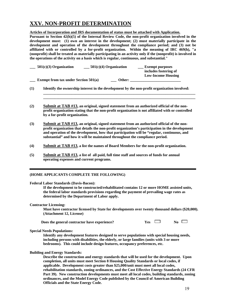## **XXV. NON-PROFIT DETERMINATION**

**Articles of Incorporation and IRS documentation of status must be attached with Application.**

**Pursuant to Section 42(h)(5) of the Internal Review Code, the non-profit organization involved in the development must: (1) own an interest in the development; (2) must materially participate in the development and operation of the development throughout the compliance period; and (3) not be affiliated with or controlled by a for-profit organization. Within the meaning of IRC 469(h), "a (nonprofit) shall be treated as materially participating in an activity only if the (nonprofit) is involved in the operations of the activity on a basis which is regular, continuous, and substantial."** 

| $501(c)(3)$ Organization               | $501(c)(4)$ Organization | <b>Exempt purposes</b><br>includes fostering of |
|----------------------------------------|--------------------------|-------------------------------------------------|
|                                        |                          | <b>Low-Income Housing</b>                       |
| Exempt from tax under Section $501(a)$ | Other:                   |                                                 |

**(1) Identify the ownership interest in the development by the non-profit organization involved:** 

**\_\_\_\_\_\_\_\_\_\_\_\_\_\_\_\_\_\_\_\_\_\_\_\_\_\_\_\_\_\_\_\_\_\_\_\_\_\_\_\_\_\_\_\_\_\_\_\_\_\_\_\_\_\_\_\_\_\_\_\_\_\_\_\_\_\_\_\_\_\_\_\_\_\_\_\_\_\_\_\_\_ \_\_\_\_\_\_\_\_\_\_\_\_\_\_\_\_\_\_\_\_\_\_\_\_\_\_\_\_\_\_\_\_\_\_\_\_\_\_\_\_\_\_\_\_\_\_\_\_\_\_\_\_\_\_\_\_\_\_\_\_\_\_\_\_\_\_\_\_\_\_\_\_\_\_\_\_\_\_\_\_\_** 

- **(2) Submit at TAB #13, an original, signed statement from an authorized official of the nonprofit organization stating that the non-profit organization is not affiliated with or controlled by a for-profit organization.**
- **(3) Submit at TAB #13, an original, signed statement from an authorized official of the nonprofit organization that details the non-profit organization's participation in the development and operation of the development, how that participation will be "regular, continuous, and substantial" and how it will be maintained throughout the compliance period.**
- **(4) Submit at TAB #13, a list the names of Board Members for the non-profit organization.**
- **(5) Submit at TAB #13, a list of all paid, full time staff and sources of funds for annual operating expenses and current programs.**

#### **(HOME APPLICANTS COMPLETE THE FOLLOWING)**

**Federal Labor Standards (Davis-Bacon):** 

**If the development to be constructed/rehabilitated contains 12 or more HOME assisted units, the federal labor standards provisions regarding the payment of prevailing wage rates as determined by the Department of Labor apply.** 

#### **Contractor Licensing:**

**Must have contractor licensed by State for developments over twenty thousand dollars (\$20,000). (Attachment 12, License)** 

**Does the general contractor have experience?** 

| -<br>-- | ÷ |
|---------|---|
|---------|---|

**Special Needs Populations:** 

**Identify any development features designed to serve populations with special housing needs, including persons with disabilities, the elderly, or large families (units with 3 or more bedrooms). This could include design features, occupancy preferences, etc.** 

#### **Building and Energy Standards:**

**Describe the construction and energy standards that will be used for the development. Upon completion, all units must meet Section 8 Housing Quality Standards or local codes, if applicable. Development costs greater than \$25,000/unit must meet all local codes, rehabilitation standards, zoning ordinances, and the Cost Effective Energy Standards (24 CFR Part 39). New construction developments must meet all local codes, building standards, zoning ordinances, and the Model Energy Code published by the Council of American Building Officials and the State Energy Code.**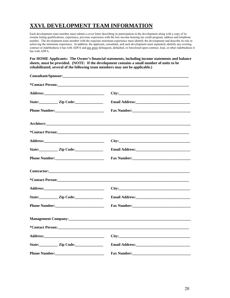# **XXVI. DEVELOPMENT TEAM INFORMATION**

Each development team member must submit a cover letter describing its participation in the development along with a copy of its resume listing qualifications, experience, previous experience with the low-income housing tax credit program, address and telephone number. The development team member with the requisite minimum experience must identify the development and describe its role in achieving the minimum experience. In addition, the applicant, consultant, and each development must separately identify any existing contract or indebtedness it has with ADFA and any prior delinquent, defaulted, or foreclosed upon contract, loan, or other indebtedness it has with ADFA.

**For HOME Applicants: The Owner's financial statements, including income statements and balance sheets, must be provided. (NOTE: If the development contains a small number of units to be rehabilitated, several of the following team members may not be applicable.)** 

| State: <u>Zip Code:</u>                                 |                       |
|---------------------------------------------------------|-----------------------|
|                                                         | Fax Number:           |
|                                                         | Architect: Architect: |
|                                                         |                       |
|                                                         |                       |
| State: <u>Zip Code: Zip Contract Contract Community</u> |                       |
|                                                         |                       |
|                                                         |                       |
| *Contact Person:                                        |                       |
|                                                         |                       |
|                                                         |                       |
|                                                         |                       |
|                                                         |                       |
|                                                         |                       |
|                                                         |                       |
|                                                         |                       |
| <b>Phone Number:</b> The Mumber:                        |                       |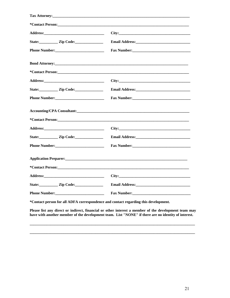| State: <u>Zip Code:</u>                                                                                                                                                                                                              |  |
|--------------------------------------------------------------------------------------------------------------------------------------------------------------------------------------------------------------------------------------|--|
|                                                                                                                                                                                                                                      |  |
|                                                                                                                                                                                                                                      |  |
|                                                                                                                                                                                                                                      |  |
|                                                                                                                                                                                                                                      |  |
|                                                                                                                                                                                                                                      |  |
|                                                                                                                                                                                                                                      |  |
|                                                                                                                                                                                                                                      |  |
|                                                                                                                                                                                                                                      |  |
|                                                                                                                                                                                                                                      |  |
|                                                                                                                                                                                                                                      |  |
|                                                                                                                                                                                                                                      |  |
|                                                                                                                                                                                                                                      |  |
| *Contact Person: <u>and the set of the set of the set of the set of the set of the set of the set of the set of the set of the set of the set of the set of the set of the set of the set of the set of the set of the set of th</u> |  |
|                                                                                                                                                                                                                                      |  |
|                                                                                                                                                                                                                                      |  |
|                                                                                                                                                                                                                                      |  |

\*Contact person for all ADFA correspondence and contact regarding this development.

Please list any direct or indirect, financial or other interest a member of the development team may have with another member of the development team. List "NONE" if there are no identity of interest.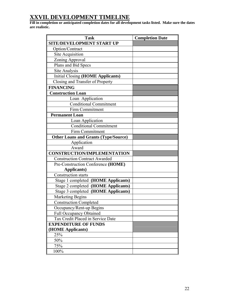# **XXVII. DEVELOPMENT TIMELINE**

**Fill in completion or anticipated completion dates for all development tasks listed. Make sure the dates are realistic.** 

| <b>Task</b>                                 | <b>Completion Date</b> |
|---------------------------------------------|------------------------|
| SITE/DEVELOPMENT START UP                   |                        |
| Option/Contract                             |                        |
| Site Acquisition                            |                        |
| Zoning Approval                             |                        |
| Plans and Bid Specs                         |                        |
| Site Analysis                               |                        |
| <b>Initial Closing (HOME Applicants)</b>    |                        |
| Closing and Transfer of Property            |                        |
| <b>FINANCING</b>                            |                        |
| <b>Construction Loan</b>                    |                        |
| Loan Application                            |                        |
| <b>Conditional Commitment</b>               |                        |
| Firm Commitment                             |                        |
| <b>Permanent Loan</b>                       |                        |
| Loan Application                            |                        |
| <b>Conditional Commitment</b>               |                        |
| <b>Firm Commitment</b>                      |                        |
| <b>Other Loans and Grants (Type/Source)</b> |                        |
| Application                                 |                        |
| Award                                       |                        |
| <b>CONSTRUCTION/IMPLEMENTATION</b>          |                        |
| <b>Construction Contract Awarded</b>        |                        |
| Pre-Construction Conference (HOME)          |                        |
| <b>Applicants</b> )                         |                        |
| <b>Construction starts</b>                  |                        |
| Stage 1 completed (HOME Applicants)         |                        |
| Stage 2 completed (HOME Applicants)         |                        |
| Stage 3 completed (HOME Applicants)         |                        |
| <b>Marketing Begins</b>                     |                        |
| <b>Construction Completed</b>               |                        |
| Occupancy/Rent-up Begins                    |                        |
| <b>Full Occupancy Obtained</b>              |                        |
| Tax Credit Placed in Service Date           |                        |
| <b>EXPENDITURE OF FUNDS</b>                 |                        |
| (HOME Applicants)                           |                        |
| 25%                                         |                        |
| 50%                                         |                        |
| 75%                                         |                        |
| 100%                                        |                        |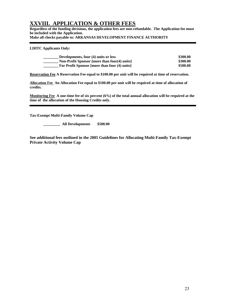## **XXVIII. APPLICATION & OTHER FEES**

**Regardless of the funding decisions, the application fees are non-refundable. The Application fee must be included with the Application.** 

**Make all checks payable to: ARKANSAS DEVELOPMENT FINANCE AUTHORITY** 

**LIHTC Applicants Only:** 

| Developments, four (4) units or less          | \$300.00 |
|-----------------------------------------------|----------|
| Non-Profit Sponsor [more than four(4) units]  | \$300.00 |
| For Profit Sponsor [more than four (4) units] | \$500.00 |

**Reservation Fee A Reservation Fee equal to \$100.00 per unit will be required at time of reservation.** 

**Allocation Fee An Allocation Fee equal to \$100.00 per unit will be required at time of allocation of credits.** 

**Monitoring Fee A one-time fee of six percent (6%) of the total annual allocation will be required at the time of the allocation of the Housing Credits only.** 

**Tax-Exempt Multi-Family Volume Cap** 

 **\_\_\_\_\_\_\_\_\_ All Developments \$500.00** 

**See additional fees outlined in the 2005 Guidelines for Allocating Multi-Family Tax-Exempt Private Activity Volume Cap**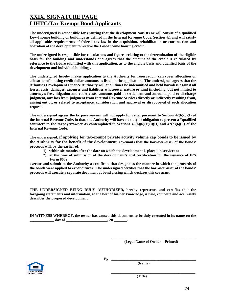# **XXIX. SIGNATURE PAGE LIHTC/Tax Exempt Bond Applicants**

**The undersigned is responsible for ensuring that the development consists or will consist of a qualified Low-Income building or buildings as defined in the Internal Revenue Code, Section 42, and will satisfy all applicable requirements of federal tax law in the acquisition, rehabilitation or construction and operation of the development to receive the Low-Income housing credit.** 

**The undersigned is responsible for calculations and figures relating to the determination of the eligible basis for the building and understands and agrees that the amount of the credit is calculated by reference to the figure submitted with this application, as to the eligible basis and qualified basis of the development and individual buildings.** 

**The undersigned hereby makes application to the Authority for reservation, carryover allocation or allocation of housing credit dollar amounts as listed in the application. The undersigned agrees that the Arkansas Development Finance Authority will at all times be indemnified and held harmless against all losses, costs, damages, expenses and liabilities whatsoever nature or kind (including, but not limited to attorney's fees, litigation and court costs, amounts paid in settlement and amounts paid to discharge judgment, any loss from judgment from Internal Revenue Service) directly or indirectly resulting from, arising out of, or related to acceptance, consideration and approval or disapproval of such allocation request.** 

**The undersigned agrees the taxpayer/owner will not apply for relief pursuant to Section 42(h)(6)(I) of the Internal Revenue Code, in that, the Authority will have no duty or obligation to present a "qualified**  contract" to the taxpayer/owner as contemplated in Sections  $42(h)(6)(E)(i)(II)$  and  $42(h)(6)(F)$  of the **Internal Revenue Code.** 

**The undersigned, if applying for tax-exempt private activity volume cap bonds to be issued by the Authority for the benefit of the development, covenants that the borrower/user of the bonds' proceeds will, by the earlier of:** 

- **1) within six months after the date on which the development is placed in service; or**
- **2) at the time of submission of the development's cost certification for the issuance of IRS Form 8609**

**execute and submit to the Authority a certificate that designates the manner in which the proceeds of the bonds were applied to expenditures. The undersigned certifies that the borrower/user of the bonds' proceeds will execute a separate document at bond closing which declares this covenant.** 

**THE UNDERSIGNED BEING DULY AUTHORIZED, hereby represents and certifies that the foregoing statements and information, to the best of his/her knowledge, is true, complete and accurately describes the proposed development.** 

**IN WITNESS WHEREOF, the owner has caused this document to be duly executed in its name on the \_\_\_\_\_\_\_\_\_\_\_\_\_ day of \_\_\_\_\_\_\_\_\_\_\_\_\_\_\_\_\_\_\_\_\_\_, 20 \_\_\_\_\_\_\_.** 

 **(Legal Name of Owner – Printed)** 

**\_\_\_\_\_\_\_\_\_\_\_\_\_\_\_\_\_\_\_\_\_\_\_\_\_\_\_\_\_\_\_\_\_\_\_\_\_\_\_\_\_\_\_\_\_** 



**By: \_\_\_\_\_\_\_\_\_\_\_\_\_\_\_\_\_\_\_\_\_\_\_\_\_\_\_\_\_\_\_\_\_\_\_\_\_\_\_\_\_\_\_\_\_** 

 **(Title)**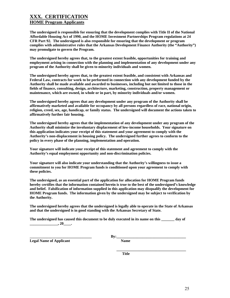## **XXX. CERTIFICATION HOME Program Applicants**

**The undersigned is responsible for ensuring that the development complies with Title II of the National Affordable Housing Act of 1990, and the HOME Investment Partnerships Program regulations at 24 CFR Part 92. The undersigned is also responsible for ensuring that the development or program complies with administrative rules that the Arkansas Development Finance Authority (the "Authority") may promulgate to govern the Program.** 

**The undersigned hereby agrees that, to the greatest extent feasible, opportunities for training and employment arising in connection with the planning and implementation of any development under any program of the Authority shall be given to minority individuals and women.** 

**The undersigned hereby agrees that, to the greatest extent feasible, and consistent with Arkansas and Federal Law, contracts for work to be performed in connection with any development funded by the Authority shall be made available and awarded to businesses, including but not limited to those in the fields of finance, consulting, design, architecture, marketing, construction, property management or maintenance, which are owned, in whole or in part, by minority individuals and/or women.** 

**The undersigned hereby agrees that any development under any program of the Authority shall be affirmatively marketed and available for occupancy by all persons regardless of race, national origin, religion, creed, sex, age, handicap, or family status. The undersigned will document the actions taken to affirmatively further fair housing.** 

**The undersigned hereby agrees that the implementation of any development under any program of the Authority shall minimize the involuntary displacement of low-income households. Your signature on this application indicates your receipt of this statement and your agreement to comply with the Authority's non-displacement in housing policy. The undersigned further agrees to conform to the policy in every phase of the planning, implementation and operation.** 

**Your signature will indicate your receipt of this statement and agreement to comply with the Authority's equal employment opportunity and non-discrimination policies.** 

**Your signature will also indicate your understanding that the Authority's willingness to issue a commitment to you for HOME Program funds is conditioned upon your agreement to comply with these policies.** 

**The undersigned, as an essential part of the application for allocation for HOME Program funds hereby certifies that the information contained herein is true to the best of the undersigned's knowledge and belief. Falsification of information supplied in this application may disqualify the development for HOME Program funds. The information given by the undersigned may be subject to verification by the Authority.** 

**The undersigned hereby agrees that the undersigned is legally able to operate in the State of Arkansas and that the undersigned is in good standing with the Arkansas Secretary of State.** 

**The undersigned has caused this document to be duly executed in its name on this \_\_\_\_\_\_\_ day of**   $\overline{\phantom{a}}$ , 20

 **\_\_\_\_\_\_\_\_\_\_\_\_\_\_\_\_\_\_\_\_\_\_\_\_\_\_\_\_\_\_\_\_\_\_\_\_\_** 

**Legal Name of Applicant Name** Name

**\_\_\_\_\_\_\_\_\_\_\_\_\_\_\_\_\_\_\_\_\_\_\_\_\_\_\_\_\_\_\_\_\_ By:\_\_\_\_\_\_\_\_\_\_\_\_\_\_\_\_\_\_\_\_\_\_\_\_\_\_\_\_\_\_\_\_\_\_\_\_\_** 

*Title*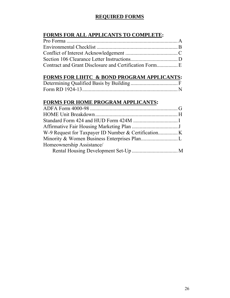## **REQUIRED FORMS**

# **FORMS FOR ALL APPLICANTS TO COMPLETE:**

## **FORMS FOR LIHTC & BOND PROGRAM APPLICANTS:**

## **FORMS FOR HOME PROGRAM APPLICANTS:**

| Homeownership Assistance/ |  |
|---------------------------|--|
|                           |  |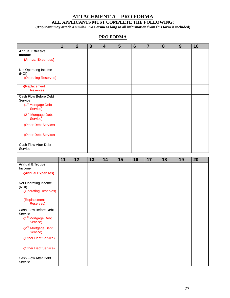# **ATTACHMENT A – PRO FORMA**

## **ALL APPLICANTS MUST COMPLETE THE FOLLOWING:**

**(Applicant may attach a similar Pro Forma as long as all information from this form is included)** 

## **PRO FORMA**

|                                             | 1  | $\overline{2}$ | $\mathbf{3}$ | $\overline{\mathbf{4}}$ | 5  | $6\phantom{1}6$ | $\overline{7}$ | 8  | 9  | 10 |
|---------------------------------------------|----|----------------|--------------|-------------------------|----|-----------------|----------------|----|----|----|
| <b>Annual Effective</b><br><b>Income</b>    |    |                |              |                         |    |                 |                |    |    |    |
| -(Annual Expenses)                          |    |                |              |                         |    |                 |                |    |    |    |
| Net Operating Income<br>(NOI)               |    |                |              |                         |    |                 |                |    |    |    |
| -(Operating Reserves)                       |    |                |              |                         |    |                 |                |    |    |    |
| -(Replacement<br>Reserves)                  |    |                |              |                         |    |                 |                |    |    |    |
| Cash Flow Before Debt<br>Service            |    |                |              |                         |    |                 |                |    |    |    |
| -(1 <sup>st</sup> Mortgage Debt<br>Service) |    |                |              |                         |    |                 |                |    |    |    |
| -(2 <sup>nd</sup> Mortgage Debt<br>Service) |    |                |              |                         |    |                 |                |    |    |    |
| -(Other Debt Service)                       |    |                |              |                         |    |                 |                |    |    |    |
| -(Other Debt Service)                       |    |                |              |                         |    |                 |                |    |    |    |
| Cash Flow After Debt<br>Service             |    |                |              |                         |    |                 |                |    |    |    |
|                                             | 11 | 12             | 13           | 14                      | 15 | 16              | 17             | 18 | 19 | 20 |
| <b>Annual Effective</b>                     |    |                |              |                         |    |                 |                |    |    |    |

|                                             | . . | . . | . . | . . | $\ddot{\phantom{0}}$ | $\cdot$ | . . | ▪ | ▪ | $ \vee$ |
|---------------------------------------------|-----|-----|-----|-----|----------------------|---------|-----|---|---|---------|
| <b>Annual Effective</b><br><b>Income</b>    |     |     |     |     |                      |         |     |   |   |         |
| -(Annual Expenses)                          |     |     |     |     |                      |         |     |   |   |         |
|                                             |     |     |     |     |                      |         |     |   |   |         |
| Net Operating Income<br>(NOI)               |     |     |     |     |                      |         |     |   |   |         |
| -(Operating Reserves)                       |     |     |     |     |                      |         |     |   |   |         |
| -(Replacement<br>Reserves)                  |     |     |     |     |                      |         |     |   |   |         |
| Cash Flow Before Debt<br>Service            |     |     |     |     |                      |         |     |   |   |         |
| -(1 <sup>st</sup> Mortgage Debt<br>Service) |     |     |     |     |                      |         |     |   |   |         |
| -(2 <sup>nd</sup> Mortgage Debt<br>Service) |     |     |     |     |                      |         |     |   |   |         |
| -(Other Debt Service)                       |     |     |     |     |                      |         |     |   |   |         |
| -(Other Debt Service)                       |     |     |     |     |                      |         |     |   |   |         |
| Cash Flow After Debt<br>Service             |     |     |     |     |                      |         |     |   |   |         |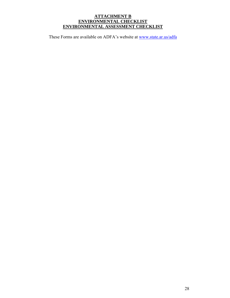#### **ATTACHMENT B ENVIRONMENTAL CHECKLIST ENVIRONMENTAL ASSESSMENT CHECKLIST**

These Forms are available on ADFA's website at www.state.ar.us/adfa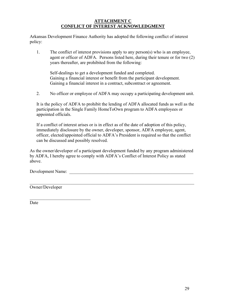#### **ATTACHMENT C CONFLICT OF INTEREST ACKNOWLEDGMENT**

Arkansas Development Finance Authority has adopted the following conflict of interest policy:

1. The conflict of interest provisions apply to any person(s) who is an employee, agent or officer of ADFA. Persons listed here, during their tenure or for two (2) years thereafter, are prohibited from the following:

Self-dealings to get a development funded and completed. Gaining a financial interest or benefit from the participant development. Gaining a financial interest in a contract, subcontract or agreement.

2. No officer or employee of ADFA may occupy a participating development unit.

It is the policy of ADFA to prohibit the lending of ADFA allocated funds as well as the participation in the Single Family HomeToOwn program to ADFA employees or appointed officials.

If a conflict of interest arises or is in effect as of the date of adoption of this policy, immediately disclosure by the owner, developer, sponsor, ADFA employee, agent, officer, elected/appointed official to ADFA's President is required so that the conflict can be discussed and possibly resolved.

As the owner/developer of a participant development funded by any program administered by ADFA, I hereby agree to comply with ADFA's Conflict of Interest Policy as stated above.

 $\mathcal{L}_\mathcal{L} = \{ \mathcal{L}_\mathcal{L} = \{ \mathcal{L}_\mathcal{L} = \{ \mathcal{L}_\mathcal{L} = \{ \mathcal{L}_\mathcal{L} = \{ \mathcal{L}_\mathcal{L} = \{ \mathcal{L}_\mathcal{L} = \{ \mathcal{L}_\mathcal{L} = \{ \mathcal{L}_\mathcal{L} = \{ \mathcal{L}_\mathcal{L} = \{ \mathcal{L}_\mathcal{L} = \{ \mathcal{L}_\mathcal{L} = \{ \mathcal{L}_\mathcal{L} = \{ \mathcal{L}_\mathcal{L} = \{ \mathcal{L}_\mathcal{$ 

Development Name:

Owner/Developer

 $\mathcal{L}_\text{max}$  , where  $\mathcal{L}_\text{max}$  and  $\mathcal{L}_\text{max}$ 

Date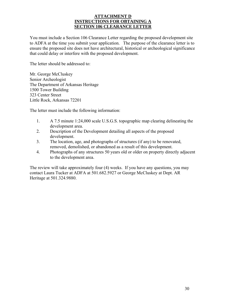#### **ATTACHMENT D INSTRUCTIONS FOR OBTAINING A SECTION 106 CLEARANCE LETTER**

You must include a Section 106 Clearance Letter regarding the proposed development site to ADFA at the time you submit your application. The purpose of the clearance letter is to ensure the proposed site does not have architectural, historical or archeological significance that could delay or interfere with the proposed development.

The letter should be addressed to:

Mr. George McCluskey Senior Archeologist The Department of Arkansas Heritage 1500 Tower Building 323 Center Street Little Rock, Arkansas 72201

The letter must include the following information:

- 1. A 7.5 minute 1:24,000 scale U.S.G.S. topographic map clearing delineating the development area.
- 2. Description of the Development detailing all aspects of the proposed development.
- 3. The location, age, and photographs of structures (if any) to be renovated, removed, demolished, or abandoned as a result of this development.
- 4. Photographs of any structures 50 years old or older on property directly adjacent to the development area.

The review will take approximately four (4) weeks. If you have any questions, you may contact Laura Tucker at ADFA at 501.682.5927 or George McCluskey at Dept. AR Heritage at 501.324.9880.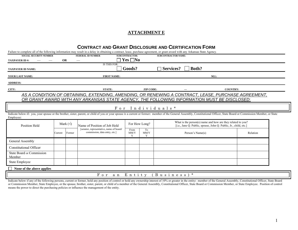#### **ATTACHMENT E**

## **CONTRACT AND GRANT DISCLOSURE AND CERTIFICATION FORM**

| Failure to complete all of the following information may result in a delay in obtaining a contract, lease, purchase agreement, or grant award with any Arkansas State Agency.                                                              |                                         |                  |                                                                           |                                      |                  |                            |          |                                                                                                                                 |  |  |
|--------------------------------------------------------------------------------------------------------------------------------------------------------------------------------------------------------------------------------------------|-----------------------------------------|------------------|---------------------------------------------------------------------------|--------------------------------------|------------------|----------------------------|----------|---------------------------------------------------------------------------------------------------------------------------------|--|--|
| <b>SOCIAL SECURITY NUMBER</b>                                                                                                                                                                                                              |                                         |                  | <b>FEDERAL ID NUMBER</b>                                                  | <b>SUBCONTRACTOR:</b>                |                  | <b>SUBCONTRACTOR NAME:</b> |          |                                                                                                                                 |  |  |
| <b>TAXPAYER ID#:</b><br>----<br>$---$                                                                                                                                                                                                      | <b>OR</b>                               |                  | ----<br>IS THIS FOR:                                                      | $\Box$ Yes $\Box$ No                 |                  |                            |          |                                                                                                                                 |  |  |
| <b>TAXPAYER ID NAME:</b>                                                                                                                                                                                                                   |                                         |                  |                                                                           | Goods?                               |                  | Both?<br>$\Box$ Services?  |          |                                                                                                                                 |  |  |
| YOUR LAST NAME:<br><b>FIRST NAME:</b><br>M.I.:                                                                                                                                                                                             |                                         |                  |                                                                           |                                      |                  |                            |          |                                                                                                                                 |  |  |
| <b>ADDRESS:</b>                                                                                                                                                                                                                            |                                         |                  |                                                                           |                                      |                  |                            |          |                                                                                                                                 |  |  |
| CITY:                                                                                                                                                                                                                                      |                                         |                  | <b>STATE:</b>                                                             |                                      | <b>ZIP CODE:</b> | <b>COUNTRY:</b>            |          |                                                                                                                                 |  |  |
| AS A CONDITION OF OBTAINING, EXTENDING, AMENDING, OR RENEWING A CONTRACT, LEASE, PURCHASE AGREEMENT,<br>OR GRANT AWARD WITH ANY ARKANSAS STATE AGENCY, THE FOLLOWING INFORMATION MUST BE DISCLOSED:                                        |                                         |                  |                                                                           |                                      |                  |                            |          |                                                                                                                                 |  |  |
| For Individuals*                                                                                                                                                                                                                           |                                         |                  |                                                                           |                                      |                  |                            |          |                                                                                                                                 |  |  |
| Indicate below if: you, your spouse or the brother, sister, parent, or child of you or your spouse is a current or former: member of the General Assembly, Constitutional Officer, State Board or Commission Member, or State<br>Employee: |                                         |                  |                                                                           |                                      |                  |                            |          |                                                                                                                                 |  |  |
| Position Held                                                                                                                                                                                                                              |                                         | Mark $(\sqrt{})$ | Name of Position of Job Held                                              |                                      |                  | For How Long?              |          | What is the person(s) name and how are they related to you?<br>[i.e., Jane Q. Public, spouse, John Q. Public, Jr., child, etc.] |  |  |
|                                                                                                                                                                                                                                            | Current                                 | Former           | [senator, representative, name of board/<br>commission, data entry, etc.] | To<br>From<br>MM/Y<br>MM/Y<br>Y<br>Y |                  | Person's Name(s)           | Relation |                                                                                                                                 |  |  |
| General Assembly                                                                                                                                                                                                                           |                                         |                  |                                                                           |                                      |                  |                            |          |                                                                                                                                 |  |  |
| <b>Constitutional Officer</b>                                                                                                                                                                                                              |                                         |                  |                                                                           |                                      |                  |                            |          |                                                                                                                                 |  |  |
| <b>State Board or Commission</b><br>Member                                                                                                                                                                                                 |                                         |                  |                                                                           |                                      |                  |                            |          |                                                                                                                                 |  |  |
| State Employee                                                                                                                                                                                                                             |                                         |                  |                                                                           |                                      |                  |                            |          |                                                                                                                                 |  |  |
| None of the above applies                                                                                                                                                                                                                  |                                         |                  |                                                                           |                                      |                  |                            |          |                                                                                                                                 |  |  |
|                                                                                                                                                                                                                                            | F o r<br>Entity<br>$(Business)*$<br>a n |                  |                                                                           |                                      |                  |                            |          |                                                                                                                                 |  |  |
| Indicate below if ony of the following narons, owner to proper bold ony position of control or bold ony sympethic interest of 100/ or overtee in the online mamber of the Cancel Assembly, Constitutional Officer, State Board             |                                         |                  |                                                                           |                                      |                  |                            |          |                                                                                                                                 |  |  |

Indicate below if any of the following persons, current or former, hold any position of control or hold any ownership interest of 10% or greater in the entity: member of the General Assembly, Constitutional Officer, State or Commission Member, State Employee, or the spouse, brother, sister, parent, or child of a member of the General Assembly, Constitutional Officer, State Board or Commission Member, or State Employee. Position of control means the power to direct the purchasing policies or influence the management of the entity.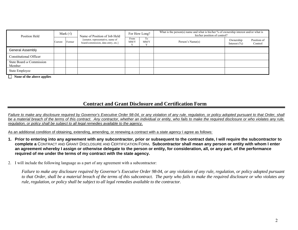| Position Held                       |         | Mark $(\sqrt{})$ | Name of Position of Job Held                                             |              | For How Long? | What is the person(s) name and what is his/her $\%$ of ownership interest and/or what is<br>his/her position of control? |                               |                        |  |
|-------------------------------------|---------|------------------|--------------------------------------------------------------------------|--------------|---------------|--------------------------------------------------------------------------------------------------------------------------|-------------------------------|------------------------|--|
|                                     | Current | Former           | [senator, representative, name of<br>board/commission, data entry, etc.] | From<br>MM/Y | To<br>MM/Y    | Person's Name(s)                                                                                                         | Ownership<br>Interest $(\% )$ | Position of<br>Control |  |
| <b>General Assembly</b>             |         |                  |                                                                          |              |               |                                                                                                                          |                               |                        |  |
| Constitutional Officer              |         |                  |                                                                          |              |               |                                                                                                                          |                               |                        |  |
| State Board or Commission<br>Member |         |                  |                                                                          |              |               |                                                                                                                          |                               |                        |  |
| State Employee                      |         |                  |                                                                          |              |               |                                                                                                                          |                               |                        |  |

**None of the above applies** 

## **Contract and Grant Disclosure and Certification Form**

Failure to make any disclosure required by Governor's Executive Order 98-04, or any violation of any rule, requlation, or policy adopted pursuant to that Order, shall *be a material breach of the terms of this contract. Any contractor, whether an individual or entity, who fails to make the required disclosure or who violates any rule, regulation, or policy shall be subject to all legal remedies available to the agency.*

As an additional condition of obtaining, extending, amending, or renewing a contract with a *state agency* I agree as follows:

- **1. Prior to entering into any agreement with any subcontractor, prior or subsequent to the contract date, I will require the subcontractor to complete a** CONTRACT AND GRANT DISCLOSURE AND CERTIFICATION FORM**. Subcontractor shall mean any person or entity with whom I enter an agreement whereby I assign or otherwise delegate to the person or entity, for consideration, all, or any part, of the performance required of me under the terms of my contract with the state agency.**
- 2. I will include the following language as a part of any agreement with a subcontractor:

 *Failure to make any disclosure required by Governor's Executive Order 98-04, or any violation of any rule, regulation, or policy adopted pursuant to that Order, shall be a material breach of the terms of this subcontract. The party who fails to make the required disclosure or who violates any rule, regulation, or policy shall be subject to all legal remedies available to the contractor.*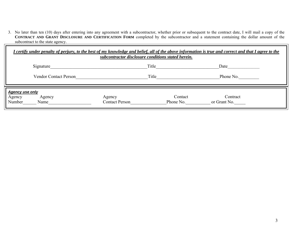3. No later than ten (10) days after entering into any agreement with a subcontractor, whether prior or subsequent to the contract date, I will mail a copy of the **CONTRACT AND GRANT DISCLOSURE AND CERTIFICATION FORM** completed by the subcontractor and a statement containing the dollar amount of the subcontract to the state agency.

| I certify under penalty of perjury, to the best of my knowledge and belief, all of the above information is true and correct and that I agree to the | subcontractor disclosure conditions stated herein. |                      |                          |
|------------------------------------------------------------------------------------------------------------------------------------------------------|----------------------------------------------------|----------------------|--------------------------|
| Signature                                                                                                                                            | Title                                              |                      | Date                     |
| <b>Vendor Contact Person</b>                                                                                                                         | Title                                              |                      | Phone No.                |
| <b>Agency use only</b><br>Agency<br>Agency<br>Number<br>Name                                                                                         | Agency<br><b>Contact Person</b>                    | Contact<br>Phone No. | Contract<br>or Grant No. |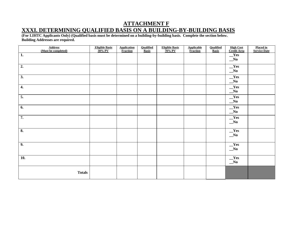## **ATTACHMENT F XXXI. DETERMINING QUALIFIED BASIS ON A BUILDING-BY-BUILDING BASIS**

**(For LIHTC Applicants Only) (Qualified basis must be determined on a building-by-building basis. Complete the section below. Building Addresses are required.** 

| <b>Address</b><br>(Must be completed) | <b>Eligible Basis</b><br>30% PV | <b>Application</b><br><b>Fraction</b> | <b>Qualified</b><br><b>Basis</b> | <b>Eligible Basis</b><br>70% PV | <b>Applicable</b><br>Fraction | <b>Qualified</b><br><b>Basis</b> | <b>High Cost</b><br><b>Credit Area</b> | <b>Placed in</b><br><b>Service Date</b> |
|---------------------------------------|---------------------------------|---------------------------------------|----------------------------------|---------------------------------|-------------------------------|----------------------------------|----------------------------------------|-----------------------------------------|
| 1.                                    |                                 |                                       |                                  |                                 |                               |                                  | Yes<br>$\sqrt{N_0}$                    |                                         |
| $\overline{2}$ .                      |                                 |                                       |                                  |                                 |                               |                                  | Yes<br>$\sqrt{N_0}$                    |                                         |
| 3.                                    |                                 |                                       |                                  |                                 |                               |                                  | Yes<br>$\sqrt{N_0}$                    |                                         |
| $\boldsymbol{4}$ .                    |                                 |                                       |                                  |                                 |                               |                                  | $\frac{\text{Yes}}{\text{No}}$         |                                         |
| $\overline{5}$ .                      |                                 |                                       |                                  |                                 |                               |                                  | Yes<br>$\sqrt{N_0}$                    |                                         |
| 6.                                    |                                 |                                       |                                  |                                 |                               |                                  | Yes<br>$\sqrt{N_0}$                    |                                         |
| 7.                                    |                                 |                                       |                                  |                                 |                               |                                  | Yes<br>$\sqrt{\phantom{a}}$ No         |                                         |
| $\overline{\mathbf{8}}$ .             |                                 |                                       |                                  |                                 |                               |                                  | Yes<br>$\sqrt{N_0}$                    |                                         |
| 9.                                    |                                 |                                       |                                  |                                 |                               |                                  | $Y$ es<br>$\sqrt{N_0}$                 |                                         |
| 10.                                   |                                 |                                       |                                  |                                 |                               |                                  | $Y$ es<br>$\sqrt{N_0}$                 |                                         |
| <b>Totals</b>                         |                                 |                                       |                                  |                                 |                               |                                  |                                        |                                         |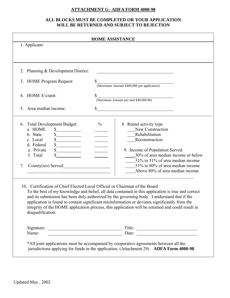#### **ATTACHMENT G– ADFA FORM 4000-98**

#### **ALL BLOCKS MUST BE COMPLETED OR YOUR APPLICATION WILL BE RETURNED AND SUBJECT TO REJECTION**

| <b>HOME ASSISTANCE</b>                                                                                                                                                                                                                                                                                                                                                                                                                                                                                                                                                                                                                                                                                                                                                                            |
|---------------------------------------------------------------------------------------------------------------------------------------------------------------------------------------------------------------------------------------------------------------------------------------------------------------------------------------------------------------------------------------------------------------------------------------------------------------------------------------------------------------------------------------------------------------------------------------------------------------------------------------------------------------------------------------------------------------------------------------------------------------------------------------------------|
|                                                                                                                                                                                                                                                                                                                                                                                                                                                                                                                                                                                                                                                                                                                                                                                                   |
| 2. Planning & Development District:<br><u> 1989 - Johann John Stone, mars eta bainar eta erroman eta erroman erroman erroman erroman erroman erroman er</u>                                                                                                                                                                                                                                                                                                                                                                                                                                                                                                                                                                                                                                       |
| \$<br>(Maximum Amount \$400,000 per application)                                                                                                                                                                                                                                                                                                                                                                                                                                                                                                                                                                                                                                                                                                                                                  |
| \$<br>Maximum Amount per unit \$40,000.00)                                                                                                                                                                                                                                                                                                                                                                                                                                                                                                                                                                                                                                                                                                                                                        |
| \$<br><u> 1980 - Jan Barbara Barbara, manazarta da kasas da kasas da kasas da kasas da kasas da kasas da kasas da kasa</u>                                                                                                                                                                                                                                                                                                                                                                                                                                                                                                                                                                                                                                                                        |
| $\frac{0}{0}$<br>8. Rental activity type<br>New Construction<br>Rehabilitation<br>Reconstruction<br>9. Income of Population Served<br>30% of area median income or below<br>31% to 51% of area median income<br>51% to 80% of area median income<br>County(ies) Served<br>Above 80% of area median income<br>10. Certification of Chief Elected Local Official or Chairman of the Board<br>To the best of my knowledge and belief, all data contained in this application is true and correct<br>and its submission has been duly authorized by the governing body. I understand that if the<br>application is found to contain significant misinformation or deviates significantly from the<br>integrity of the HOME application process, this application will be returned and could result in |
| Signature: Title: Title: Title: Name: Name: 2014                                                                                                                                                                                                                                                                                                                                                                                                                                                                                                                                                                                                                                                                                                                                                  |
|                                                                                                                                                                                                                                                                                                                                                                                                                                                                                                                                                                                                                                                                                                                                                                                                   |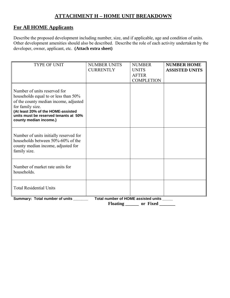## **ATTACHMENT H – HOME UNIT BREAKDOWN**

## **For All HOME Applicants**

Describe the proposed development including number, size, and if applicable, age and condition of units. Other development amenities should also be described. Describe the role of each activity undertaken by the developer, owner, applicant, etc. **(Attach extra sheet)**

| <b>TYPE OF UNIT</b>                                                                                                                                                                                                                        | <b>NUMBER UNITS</b><br><b>CURRENTLY</b> | <b>NUMBER</b><br><b>UNITS</b><br><b>AFTER</b><br><b>COMPLETION</b> | <b>NUMBER HOME</b><br><b>ASSISTED UNITS</b> |
|--------------------------------------------------------------------------------------------------------------------------------------------------------------------------------------------------------------------------------------------|-----------------------------------------|--------------------------------------------------------------------|---------------------------------------------|
| Number of units reserved for<br>households equal to or less than 50%<br>of the county median income, adjusted<br>for family size.<br>(At least 20% of the HOME-assisted<br>units must be reserved tenants at 50%<br>county median income.) |                                         |                                                                    |                                             |
| Number of units initially reserved for<br>households between 50%-60% of the<br>county median income, adjusted for<br>family size.                                                                                                          |                                         |                                                                    |                                             |
| Number of market rate units for<br>households.                                                                                                                                                                                             |                                         |                                                                    |                                             |
| <b>Total Residential Units</b>                                                                                                                                                                                                             |                                         |                                                                    |                                             |
| Summary: Total number of units                                                                                                                                                                                                             | Total number of HOME assisted units     | Floating _______ or Fixed ____                                     |                                             |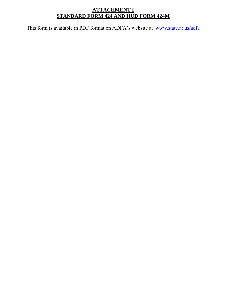## **ATTACHMENT I STANDARD FORM 424 AND HUD FORM 424M**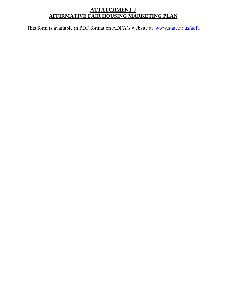# **ATTATCHMENT J AFFIRMATIVE FAIR HOUSING MARKETING PLAN**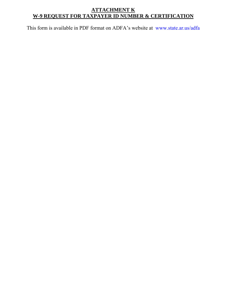## **ATTACHMENT K W-9 REQUEST FOR TAXPAYER ID NUMBER & CERTIFICATION**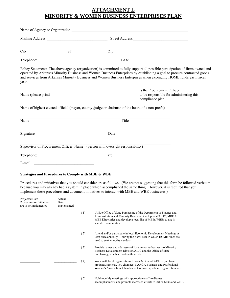## **ATTACHMENT L MINORITY & WOMEN BUSINESS ENTERPRISES PLAN**

|                          |                                                    |                                                                                                                       | Street Address:                                                                                                                                                                                                                                                                                                                                                                |
|--------------------------|----------------------------------------------------|-----------------------------------------------------------------------------------------------------------------------|--------------------------------------------------------------------------------------------------------------------------------------------------------------------------------------------------------------------------------------------------------------------------------------------------------------------------------------------------------------------------------|
| $\overline{\text{City}}$ | ST                                                 | $\overline{Zip}$                                                                                                      |                                                                                                                                                                                                                                                                                                                                                                                |
|                          |                                                    |                                                                                                                       | Telephone: FAX: FAX:                                                                                                                                                                                                                                                                                                                                                           |
| year.                    |                                                    |                                                                                                                       | Policy Statement: The above agency (organization) is committed to fully support all possible participation of firms owned and<br>operated by Arkansas Minority Business and Women Business Enterprises by establishing a goal to procure contracted goods<br>and services from Arkansas Minority Business and Women Business Enterprises when expending HOME funds each fiscal |
|                          |                                                    | <u> 1989 - Johann John Stein, mars an deutscher Stein und der Stein und der Stein und der Stein und der Stein und</u> | is the Procurement Officer                                                                                                                                                                                                                                                                                                                                                     |
| Name (please print)      |                                                    |                                                                                                                       | to be responsible for administering this<br>compliance plan.                                                                                                                                                                                                                                                                                                                   |
|                          |                                                    | Name of highest elected official (mayor, county , judge or chairman of the board of a non-profit)                     |                                                                                                                                                                                                                                                                                                                                                                                |
| Name                     |                                                    | Title                                                                                                                 |                                                                                                                                                                                                                                                                                                                                                                                |
| Signature                |                                                    | Date                                                                                                                  |                                                                                                                                                                                                                                                                                                                                                                                |
|                          |                                                    | Supervisor of Procurement Officer Name - (person with oversight responsibility)                                       |                                                                                                                                                                                                                                                                                                                                                                                |
|                          |                                                    |                                                                                                                       |                                                                                                                                                                                                                                                                                                                                                                                |
|                          |                                                    |                                                                                                                       |                                                                                                                                                                                                                                                                                                                                                                                |
|                          | Strategies and Procedures to Comply with MBE & WBE |                                                                                                                       |                                                                                                                                                                                                                                                                                                                                                                                |

Procedures and initiatives that you should consider are as follows: (We are not suggesting that this form be followed verbatim because you may already had a system in place which accomplished the same thing. However, it is required that you implement these procedures and document initiatives to interact with MBE and WBE businesses.)

| Projected Date<br>Procedures or Initiatives<br>are to be Implemented | Actual<br>Date<br>Implemented |     |                                                                                                                                                                                                                                 |
|----------------------------------------------------------------------|-------------------------------|-----|---------------------------------------------------------------------------------------------------------------------------------------------------------------------------------------------------------------------------------|
|                                                                      |                               | (1) | Utilize Office of State Purchasing of the Department of Finance and<br>Administration and Minority Business Development/AIDC, MBE &<br>WBE Directories and develop a local list of MBEs/WBEs to use in<br>specific communities. |
|                                                                      |                               | (2) | Attend and/or participate in local Economic Development Meetings at<br>during the fiscal year in which HOME funds are<br>least once annually<br>used to seek minority vendors.                                                  |
|                                                                      |                               | (3) | Provide names and addresses of local minority business to Minority<br>Business Development Division/AIDC and the Office of State<br>Purchasing, which are not on their lists.                                                   |
|                                                                      |                               | (4) | Work with local organizations to seek MBE and WBE to purchase<br>products, services, <i>i.e.</i> , churches, NAACP, Business and Professional<br>Women's Association, Chamber of Commerce, related organization, etc.           |
|                                                                      |                               | (5) | Hold monthly meetings with appropriate staff to discuss<br>accomplishments and promote increased efforts to utilize MBE and WBE.                                                                                                |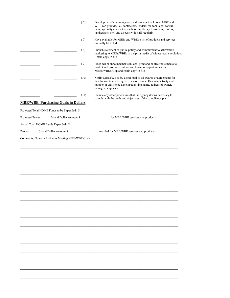|                                               | (6)  | Develop list of common goods and services that known MBE and<br>WBE can provide, i.e., contractors, lenders, realtors, legal consul-<br>tants, specialty contractors such as plumbers, electricians, roofers,<br>landscapers, etc., and discuss with staff regularly. |
|-----------------------------------------------|------|-----------------------------------------------------------------------------------------------------------------------------------------------------------------------------------------------------------------------------------------------------------------------|
|                                               | (7)  | Have available for MBEs and WBEs a list of products and services<br>normally let to bid.                                                                                                                                                                              |
|                                               | (8)  | Publish statement of public policy and commitment to affirmative<br>marketing to MBEs/WBEs in the print media of widest local circulation.<br>Retain copy in file.                                                                                                    |
|                                               | (9)  | Place ads or announcements in local print and/or electronic media to<br>market and promote contract and business opportunities for<br>MBEs/WBEs. Clip and retain copy in file.                                                                                        |
|                                               | (10) | Notify MBEs/WBEs by direct mail of all awards or agreements for<br>developments involving five or more units. Describe activity and<br>number of units to be developed giving name, address of owner,<br>manager or sponsor.                                          |
| <b>MBE/WBE Purchasing Goals in Dollars</b>    | (11) | Include any other procedures that the agency deems necessary to<br>comply with the goals and objectives of the compliance plan.                                                                                                                                       |
| Projected Total HOME Funds to be Expended: \$ |      |                                                                                                                                                                                                                                                                       |
|                                               |      |                                                                                                                                                                                                                                                                       |
| Actual Total HOME Funds Expended: \$          |      |                                                                                                                                                                                                                                                                       |
|                                               |      |                                                                                                                                                                                                                                                                       |
|                                               |      |                                                                                                                                                                                                                                                                       |
|                                               |      |                                                                                                                                                                                                                                                                       |
|                                               |      |                                                                                                                                                                                                                                                                       |
|                                               |      |                                                                                                                                                                                                                                                                       |
|                                               |      |                                                                                                                                                                                                                                                                       |
|                                               |      |                                                                                                                                                                                                                                                                       |
|                                               |      |                                                                                                                                                                                                                                                                       |
|                                               |      |                                                                                                                                                                                                                                                                       |
|                                               |      |                                                                                                                                                                                                                                                                       |
|                                               |      |                                                                                                                                                                                                                                                                       |
|                                               |      |                                                                                                                                                                                                                                                                       |
|                                               |      |                                                                                                                                                                                                                                                                       |
|                                               |      |                                                                                                                                                                                                                                                                       |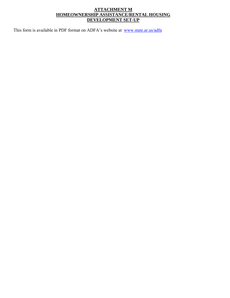#### **ATTACHMENT M HOMEOWNERSHIP ASSISTANCE/RENTAL HOUSING DEVELOPMENT SET-UP**